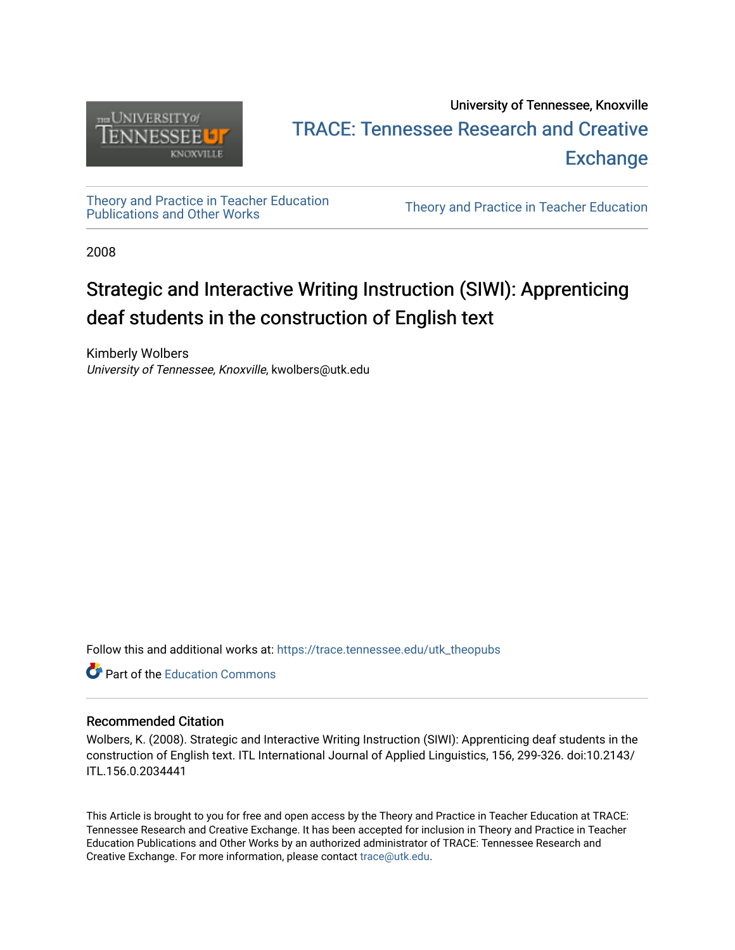

# University of Tennessee, Knoxville TRACE: T[ennessee Research and Cr](https://trace.tennessee.edu/)eative **Exchange**

[Theory and Practice in Teacher Education](https://trace.tennessee.edu/utk_theopubs)

Theory and Practice in Teacher Education

2008

# Strategic and Interactive Writing Instruction (SIWI): Apprenticing deaf students in the construction of English text

Kimberly Wolbers University of Tennessee, Knoxville, kwolbers@utk.edu

Follow this and additional works at: [https://trace.tennessee.edu/utk\\_theopubs](https://trace.tennessee.edu/utk_theopubs?utm_source=trace.tennessee.edu%2Futk_theopubs%2F5&utm_medium=PDF&utm_campaign=PDFCoverPages)

**C** Part of the [Education Commons](https://network.bepress.com/hgg/discipline/784?utm_source=trace.tennessee.edu%2Futk_theopubs%2F5&utm_medium=PDF&utm_campaign=PDFCoverPages)

#### Recommended Citation

Wolbers, K. (2008). Strategic and Interactive Writing Instruction (SIWI): Apprenticing deaf students in the construction of English text. ITL International Journal of Applied Linguistics, 156, 299-326. doi:10.2143/ ITL.156.0.2034441

This Article is brought to you for free and open access by the Theory and Practice in Teacher Education at TRACE: Tennessee Research and Creative Exchange. It has been accepted for inclusion in Theory and Practice in Teacher Education Publications and Other Works by an authorized administrator of TRACE: Tennessee Research and Creative Exchange. For more information, please contact [trace@utk.edu](mailto:trace@utk.edu).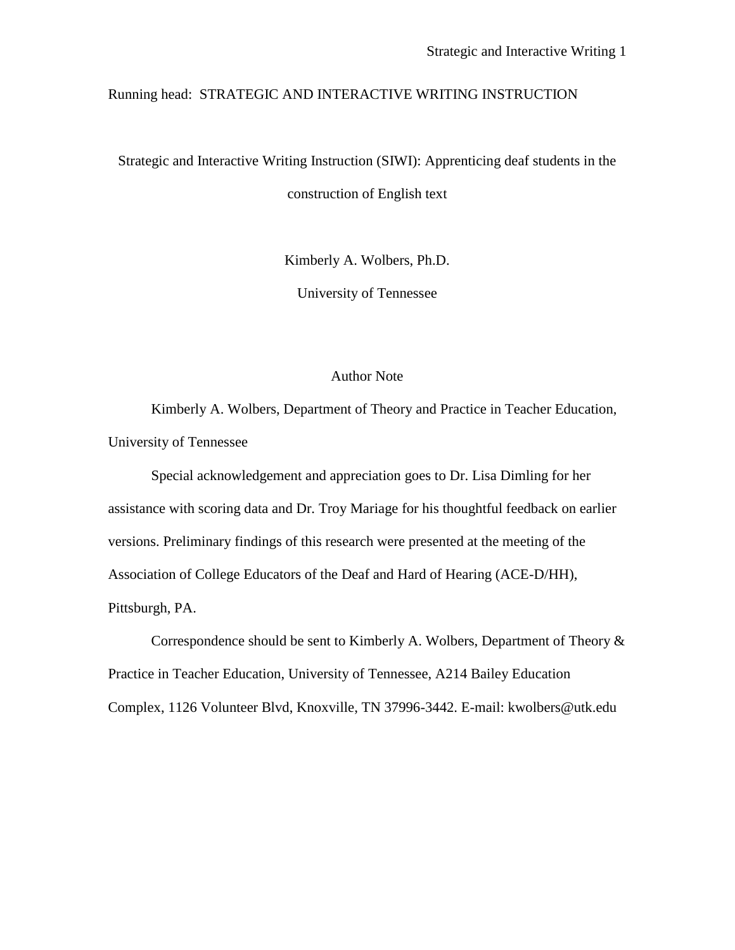#### Running head: STRATEGIC AND INTERACTIVE WRITING INSTRUCTION

Strategic and Interactive Writing Instruction (SIWI): Apprenticing deaf students in the construction of English text

Kimberly A. Wolbers, Ph.D.

University of Tennessee

#### Author Note

Kimberly A. Wolbers, Department of Theory and Practice in Teacher Education, University of Tennessee

Special acknowledgement and appreciation goes to Dr. Lisa Dimling for her assistance with scoring data and Dr. Troy Mariage for his thoughtful feedback on earlier versions. Preliminary findings of this research were presented at the meeting of the Association of College Educators of the Deaf and Hard of Hearing (ACE-D/HH), Pittsburgh, PA.

Correspondence should be sent to Kimberly A. Wolbers, Department of Theory & Practice in Teacher Education, University of Tennessee, A214 Bailey Education Complex, 1126 Volunteer Blvd, Knoxville, TN 37996-3442. E-mail: kwolbers@utk.edu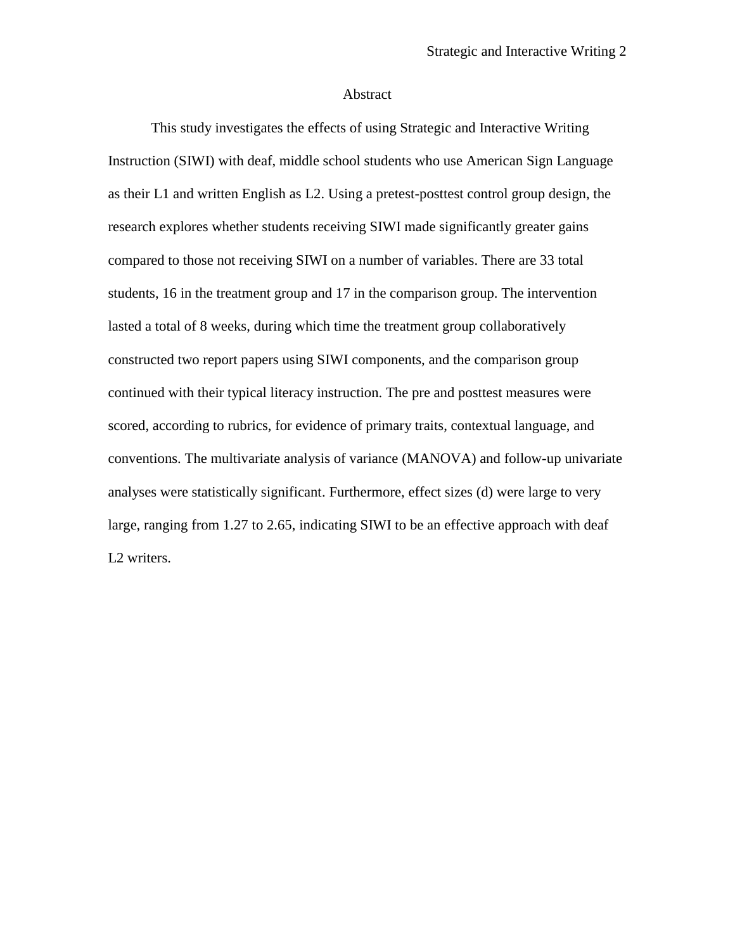#### Abstract

This study investigates the effects of using Strategic and Interactive Writing Instruction (SIWI) with deaf, middle school students who use American Sign Language as their L1 and written English as L2. Using a pretest-posttest control group design, the research explores whether students receiving SIWI made significantly greater gains compared to those not receiving SIWI on a number of variables. There are 33 total students, 16 in the treatment group and 17 in the comparison group. The intervention lasted a total of 8 weeks, during which time the treatment group collaboratively constructed two report papers using SIWI components, and the comparison group continued with their typical literacy instruction. The pre and posttest measures were scored, according to rubrics, for evidence of primary traits, contextual language, and conventions. The multivariate analysis of variance (MANOVA) and follow-up univariate analyses were statistically significant. Furthermore, effect sizes (d) were large to very large, ranging from 1.27 to 2.65, indicating SIWI to be an effective approach with deaf L<sub>2</sub> writers.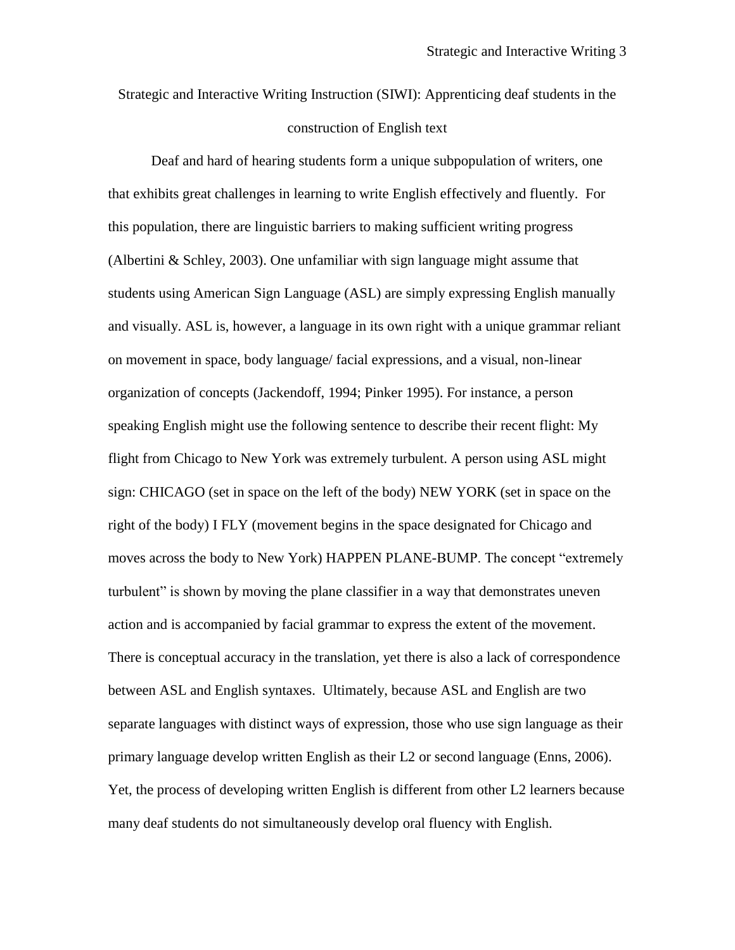Strategic and Interactive Writing Instruction (SIWI): Apprenticing deaf students in the construction of English text

Deaf and hard of hearing students form a unique subpopulation of writers, one that exhibits great challenges in learning to write English effectively and fluently. For this population, there are linguistic barriers to making sufficient writing progress (Albertini & Schley, 2003). One unfamiliar with sign language might assume that students using American Sign Language (ASL) are simply expressing English manually and visually. ASL is, however, a language in its own right with a unique grammar reliant on movement in space, body language/ facial expressions, and a visual, non-linear organization of concepts (Jackendoff, 1994; Pinker 1995). For instance, a person speaking English might use the following sentence to describe their recent flight: My flight from Chicago to New York was extremely turbulent. A person using ASL might sign: CHICAGO (set in space on the left of the body) NEW YORK (set in space on the right of the body) I FLY (movement begins in the space designated for Chicago and moves across the body to New York) HAPPEN PLANE-BUMP. The concept "extremely turbulent" is shown by moving the plane classifier in a way that demonstrates uneven action and is accompanied by facial grammar to express the extent of the movement. There is conceptual accuracy in the translation, yet there is also a lack of correspondence between ASL and English syntaxes. Ultimately, because ASL and English are two separate languages with distinct ways of expression, those who use sign language as their primary language develop written English as their L2 or second language (Enns, 2006). Yet, the process of developing written English is different from other L2 learners because many deaf students do not simultaneously develop oral fluency with English.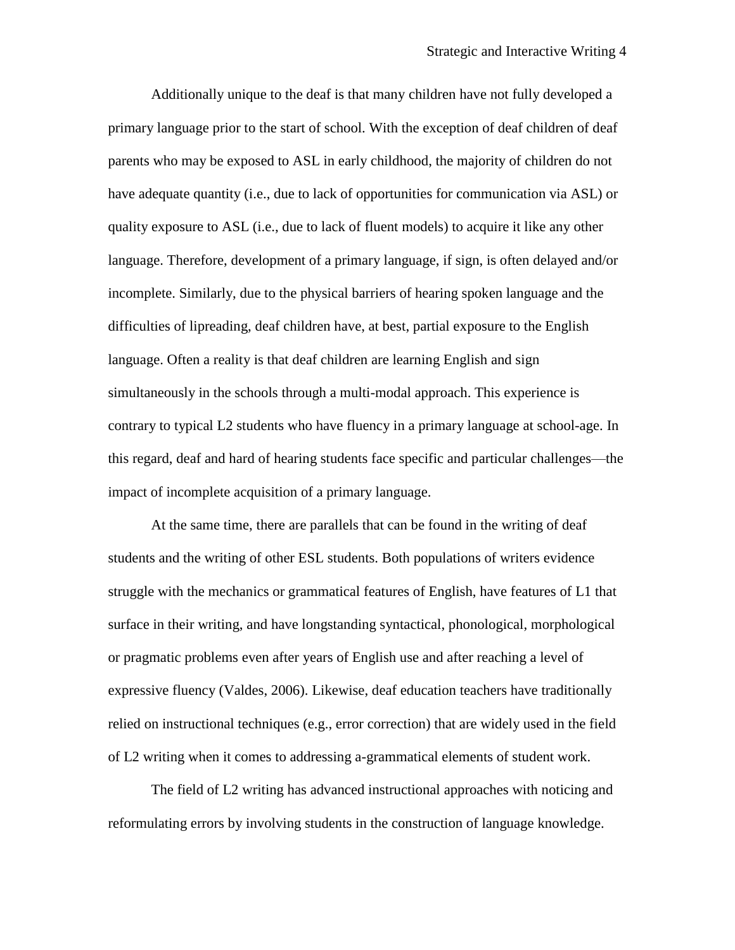Additionally unique to the deaf is that many children have not fully developed a primary language prior to the start of school. With the exception of deaf children of deaf parents who may be exposed to ASL in early childhood, the majority of children do not have adequate quantity (i.e., due to lack of opportunities for communication via ASL) or quality exposure to ASL (i.e., due to lack of fluent models) to acquire it like any other language. Therefore, development of a primary language, if sign, is often delayed and/or incomplete. Similarly, due to the physical barriers of hearing spoken language and the difficulties of lipreading, deaf children have, at best, partial exposure to the English language. Often a reality is that deaf children are learning English and sign simultaneously in the schools through a multi-modal approach. This experience is contrary to typical L2 students who have fluency in a primary language at school-age. In this regard, deaf and hard of hearing students face specific and particular challenges—the impact of incomplete acquisition of a primary language.

At the same time, there are parallels that can be found in the writing of deaf students and the writing of other ESL students. Both populations of writers evidence struggle with the mechanics or grammatical features of English, have features of L1 that surface in their writing, and have longstanding syntactical, phonological, morphological or pragmatic problems even after years of English use and after reaching a level of expressive fluency (Valdes, 2006). Likewise, deaf education teachers have traditionally relied on instructional techniques (e.g., error correction) that are widely used in the field of L2 writing when it comes to addressing a-grammatical elements of student work.

The field of L2 writing has advanced instructional approaches with noticing and reformulating errors by involving students in the construction of language knowledge.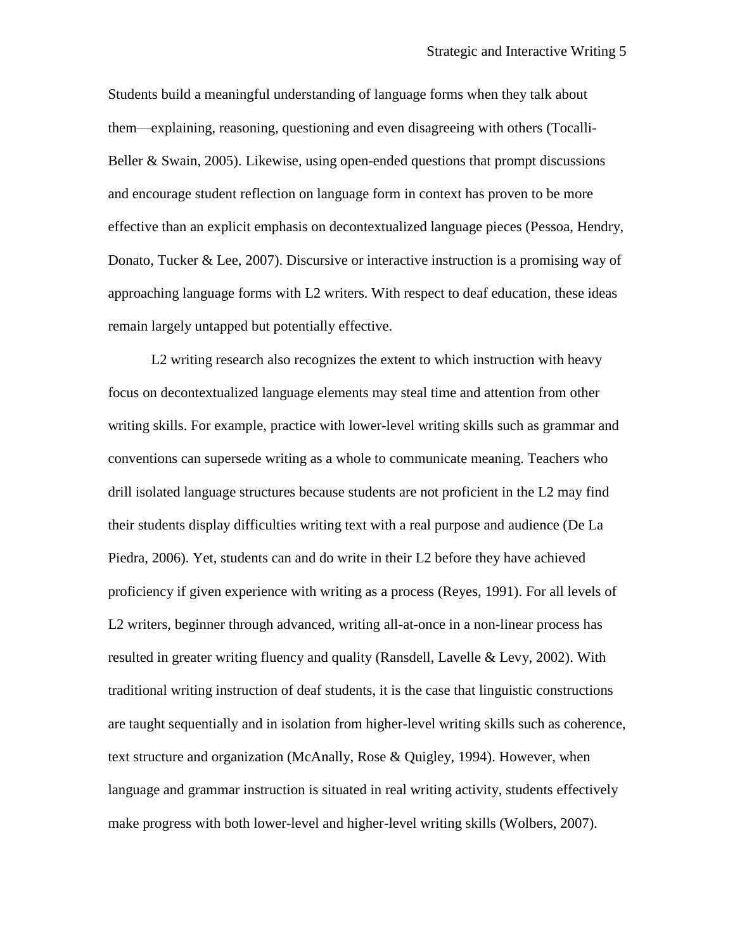Students build a meaningful understanding of language forms when they talk about them—explaining, reasoning, questioning and even disagreeing with others (Tocalli-Beller & Swain, 2005). Likewise, using open-ended questions that prompt discussions and encourage student reflection on language form in context has proven to be more effective than an explicit emphasis on decontextualized language pieces (Pessoa, Hendry, Donato, Tucker & Lee, 2007). Discursive or interactive instruction is a promising way of approaching language forms with L2 writers. With respect to deaf education, these ideas remain largely untapped but potentially effective.

L2 writing research also recognizes the extent to which instruction with heavy focus on decontextualized language elements may steal time and attention from other writing skills. For example, practice with lower-level writing skills such as grammar and conventions can supersede writing as a whole to communicate meaning. Teachers who drill isolated language structures because students are not proficient in the L2 may find their students display difficulties writing text with a real purpose and audience (De La Piedra, 2006). Yet, students can and do write in their L2 before they have achieved proficiency if given experience with writing as a process (Reyes, 1991). For all levels of L2 writers, beginner through advanced, writing all-at-once in a non-linear process has resulted in greater writing fluency and quality (Ransdell, Lavelle & Levy, 2002). With traditional writing instruction of deaf students, it is the case that linguistic constructions are taught sequentially and in isolation from higher-level writing skills such as coherence, text structure and organization (McAnally, Rose & Quigley, 1994). However, when language and grammar instruction is situated in real writing activity, students effectively make progress with both lower-level and higher-level writing skills (Wolbers, 2007).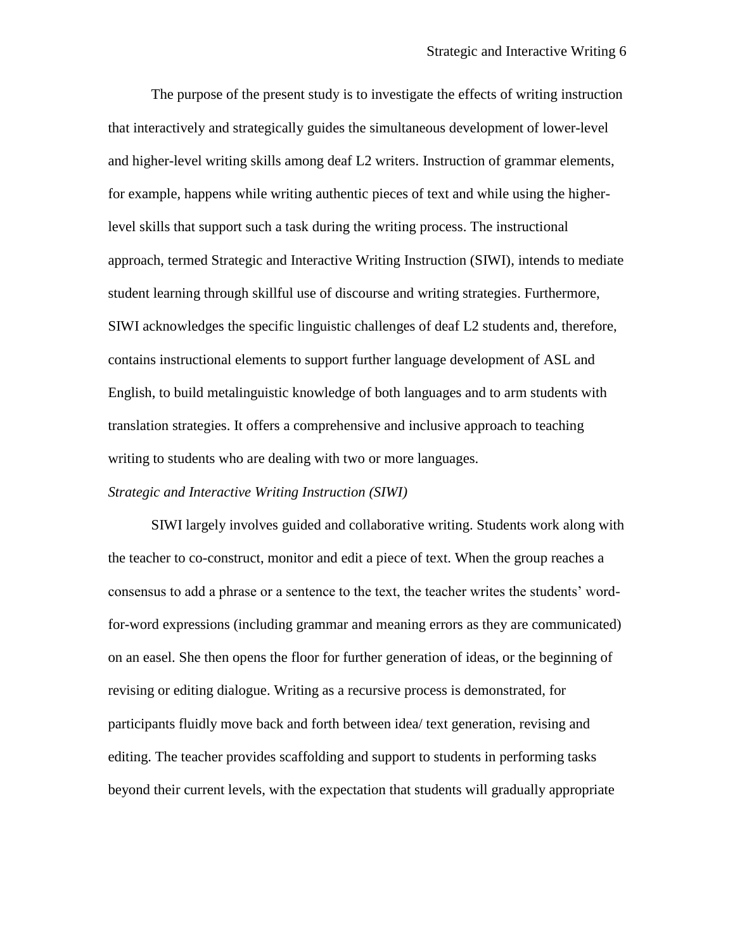The purpose of the present study is to investigate the effects of writing instruction that interactively and strategically guides the simultaneous development of lower-level and higher-level writing skills among deaf L2 writers. Instruction of grammar elements, for example, happens while writing authentic pieces of text and while using the higherlevel skills that support such a task during the writing process. The instructional approach, termed Strategic and Interactive Writing Instruction (SIWI), intends to mediate student learning through skillful use of discourse and writing strategies. Furthermore, SIWI acknowledges the specific linguistic challenges of deaf L2 students and, therefore, contains instructional elements to support further language development of ASL and English, to build metalinguistic knowledge of both languages and to arm students with translation strategies. It offers a comprehensive and inclusive approach to teaching writing to students who are dealing with two or more languages.

#### *Strategic and Interactive Writing Instruction (SIWI)*

SIWI largely involves guided and collaborative writing. Students work along with the teacher to co-construct, monitor and edit a piece of text. When the group reaches a consensus to add a phrase or a sentence to the text, the teacher writes the students' wordfor-word expressions (including grammar and meaning errors as they are communicated) on an easel. She then opens the floor for further generation of ideas, or the beginning of revising or editing dialogue. Writing as a recursive process is demonstrated, for participants fluidly move back and forth between idea/ text generation, revising and editing. The teacher provides scaffolding and support to students in performing tasks beyond their current levels, with the expectation that students will gradually appropriate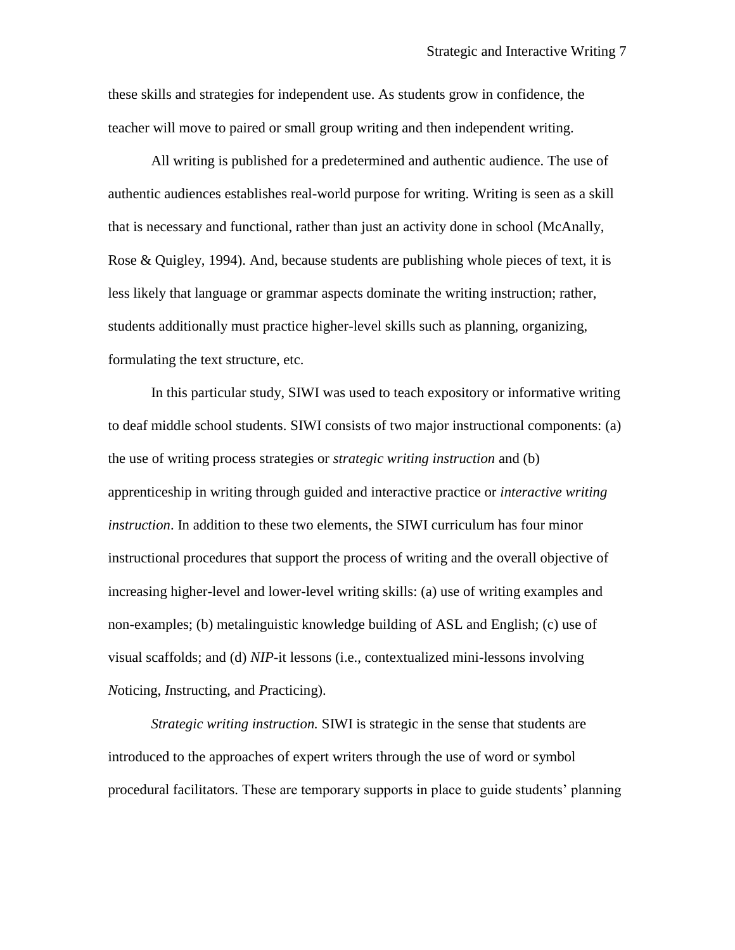these skills and strategies for independent use. As students grow in confidence, the teacher will move to paired or small group writing and then independent writing.

All writing is published for a predetermined and authentic audience. The use of authentic audiences establishes real-world purpose for writing. Writing is seen as a skill that is necessary and functional, rather than just an activity done in school (McAnally, Rose & Quigley, 1994). And, because students are publishing whole pieces of text, it is less likely that language or grammar aspects dominate the writing instruction; rather, students additionally must practice higher-level skills such as planning, organizing, formulating the text structure, etc.

In this particular study, SIWI was used to teach expository or informative writing to deaf middle school students. SIWI consists of two major instructional components: (a) the use of writing process strategies or *strategic writing instruction* and (b) apprenticeship in writing through guided and interactive practice or *interactive writing instruction*. In addition to these two elements, the SIWI curriculum has four minor instructional procedures that support the process of writing and the overall objective of increasing higher-level and lower-level writing skills: (a) use of writing examples and non-examples; (b) metalinguistic knowledge building of ASL and English; (c) use of visual scaffolds; and (d) *NIP*-it lessons (i.e., contextualized mini-lessons involving *N*oticing, *I*nstructing, and *P*racticing).

*Strategic writing instruction.* SIWI is strategic in the sense that students are introduced to the approaches of expert writers through the use of word or symbol procedural facilitators. These are temporary supports in place to guide students' planning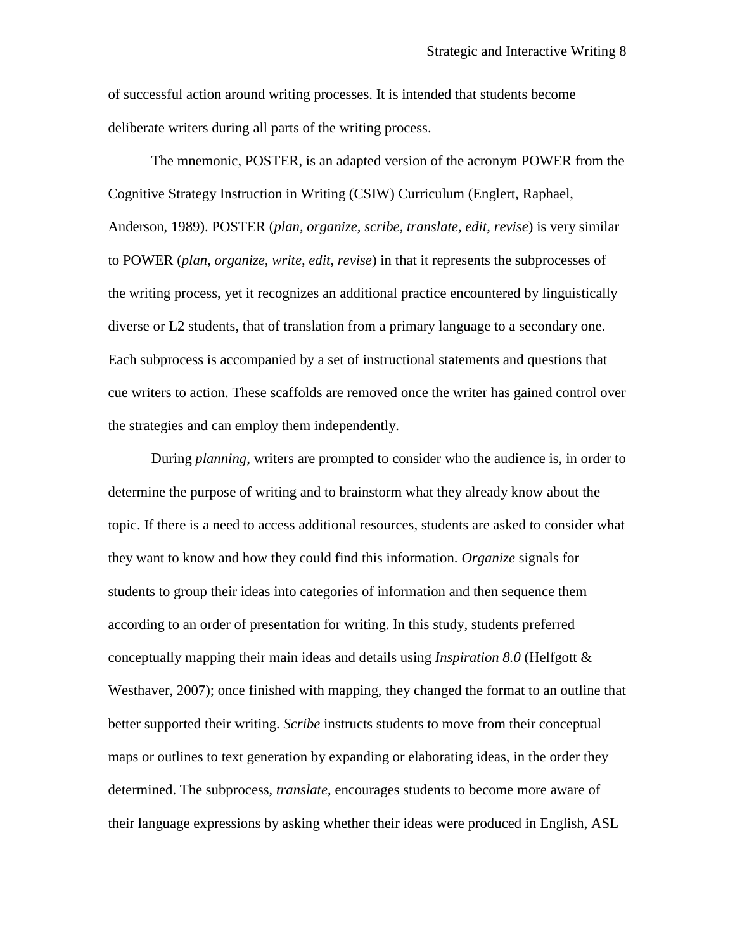of successful action around writing processes. It is intended that students become deliberate writers during all parts of the writing process.

The mnemonic, POSTER, is an adapted version of the acronym POWER from the Cognitive Strategy Instruction in Writing (CSIW) Curriculum (Englert, Raphael, Anderson, 1989). POSTER (*plan, organize, scribe, translate, edit, revise*) is very similar to POWER (*plan, organize, write, edit, revise*) in that it represents the subprocesses of the writing process, yet it recognizes an additional practice encountered by linguistically diverse or L2 students, that of translation from a primary language to a secondary one. Each subprocess is accompanied by a set of instructional statements and questions that cue writers to action. These scaffolds are removed once the writer has gained control over the strategies and can employ them independently.

During *planning*, writers are prompted to consider who the audience is, in order to determine the purpose of writing and to brainstorm what they already know about the topic. If there is a need to access additional resources, students are asked to consider what they want to know and how they could find this information. *Organize* signals for students to group their ideas into categories of information and then sequence them according to an order of presentation for writing. In this study, students preferred conceptually mapping their main ideas and details using *Inspiration 8.0* (Helfgott & Westhaver, 2007); once finished with mapping, they changed the format to an outline that better supported their writing. *Scribe* instructs students to move from their conceptual maps or outlines to text generation by expanding or elaborating ideas, in the order they determined. The subprocess, *translate*, encourages students to become more aware of their language expressions by asking whether their ideas were produced in English, ASL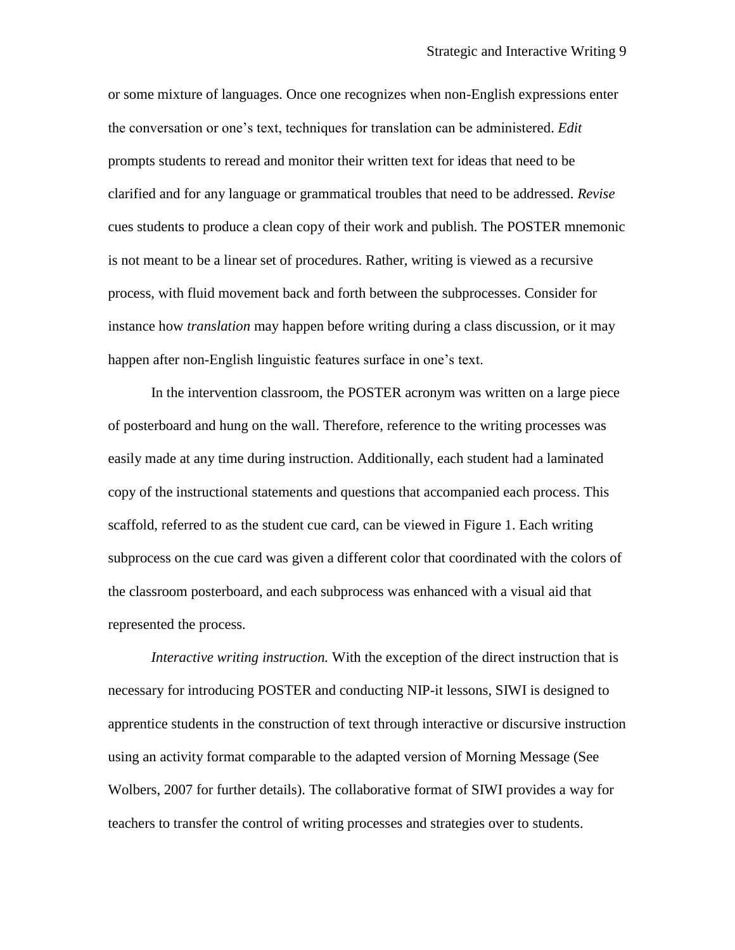or some mixture of languages. Once one recognizes when non-English expressions enter the conversation or one's text, techniques for translation can be administered. *Edit* prompts students to reread and monitor their written text for ideas that need to be clarified and for any language or grammatical troubles that need to be addressed. *Revise* cues students to produce a clean copy of their work and publish. The POSTER mnemonic is not meant to be a linear set of procedures. Rather, writing is viewed as a recursive process, with fluid movement back and forth between the subprocesses. Consider for instance how *translation* may happen before writing during a class discussion, or it may happen after non-English linguistic features surface in one's text.

In the intervention classroom, the POSTER acronym was written on a large piece of posterboard and hung on the wall. Therefore, reference to the writing processes was easily made at any time during instruction. Additionally, each student had a laminated copy of the instructional statements and questions that accompanied each process. This scaffold, referred to as the student cue card, can be viewed in Figure 1. Each writing subprocess on the cue card was given a different color that coordinated with the colors of the classroom posterboard, and each subprocess was enhanced with a visual aid that represented the process.

*Interactive writing instruction.* With the exception of the direct instruction that is necessary for introducing POSTER and conducting NIP-it lessons, SIWI is designed to apprentice students in the construction of text through interactive or discursive instruction using an activity format comparable to the adapted version of Morning Message (See Wolbers, 2007 for further details). The collaborative format of SIWI provides a way for teachers to transfer the control of writing processes and strategies over to students.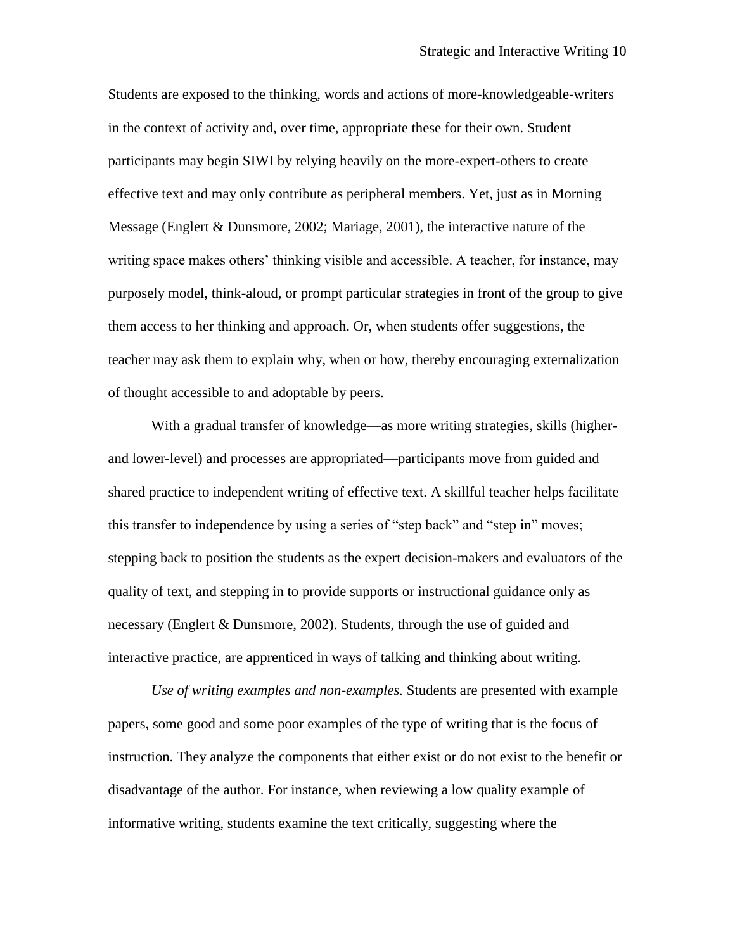Students are exposed to the thinking, words and actions of more-knowledgeable-writers in the context of activity and, over time, appropriate these for their own. Student participants may begin SIWI by relying heavily on the more-expert-others to create effective text and may only contribute as peripheral members. Yet, just as in Morning Message (Englert & Dunsmore, 2002; Mariage, 2001), the interactive nature of the writing space makes others' thinking visible and accessible. A teacher, for instance, may purposely model, think-aloud, or prompt particular strategies in front of the group to give them access to her thinking and approach. Or, when students offer suggestions, the teacher may ask them to explain why, when or how, thereby encouraging externalization of thought accessible to and adoptable by peers.

With a gradual transfer of knowledge—as more writing strategies, skills (higherand lower-level) and processes are appropriated—participants move from guided and shared practice to independent writing of effective text. A skillful teacher helps facilitate this transfer to independence by using a series of "step back" and "step in" moves; stepping back to position the students as the expert decision-makers and evaluators of the quality of text, and stepping in to provide supports or instructional guidance only as necessary (Englert & Dunsmore, 2002). Students, through the use of guided and interactive practice, are apprenticed in ways of talking and thinking about writing.

*Use of writing examples and non-examples.* Students are presented with example papers, some good and some poor examples of the type of writing that is the focus of instruction. They analyze the components that either exist or do not exist to the benefit or disadvantage of the author. For instance, when reviewing a low quality example of informative writing, students examine the text critically, suggesting where the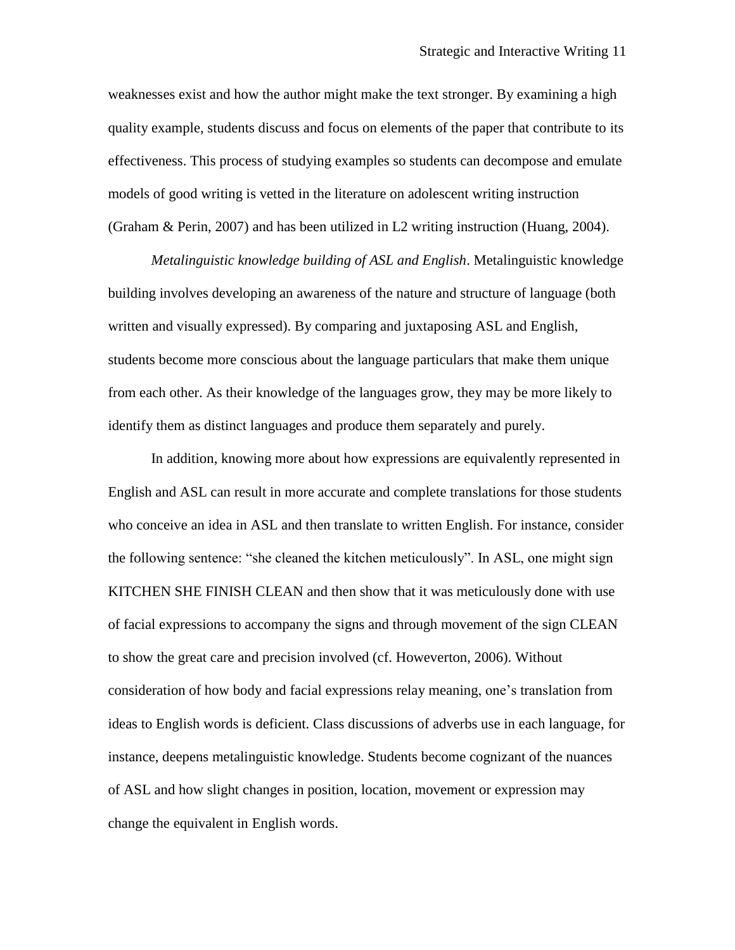weaknesses exist and how the author might make the text stronger. By examining a high quality example, students discuss and focus on elements of the paper that contribute to its effectiveness. This process of studying examples so students can decompose and emulate models of good writing is vetted in the literature on adolescent writing instruction (Graham & Perin, 2007) and has been utilized in L2 writing instruction (Huang, 2004).

*Metalinguistic knowledge building of ASL and English*. Metalinguistic knowledge building involves developing an awareness of the nature and structure of language (both written and visually expressed). By comparing and juxtaposing ASL and English, students become more conscious about the language particulars that make them unique from each other. As their knowledge of the languages grow, they may be more likely to identify them as distinct languages and produce them separately and purely.

In addition, knowing more about how expressions are equivalently represented in English and ASL can result in more accurate and complete translations for those students who conceive an idea in ASL and then translate to written English. For instance, consider the following sentence: "she cleaned the kitchen meticulously". In ASL, one might sign KITCHEN SHE FINISH CLEAN and then show that it was meticulously done with use of facial expressions to accompany the signs and through movement of the sign CLEAN to show the great care and precision involved (cf. Howeverton, 2006). Without consideration of how body and facial expressions relay meaning, one's translation from ideas to English words is deficient. Class discussions of adverbs use in each language, for instance, deepens metalinguistic knowledge. Students become cognizant of the nuances of ASL and how slight changes in position, location, movement or expression may change the equivalent in English words.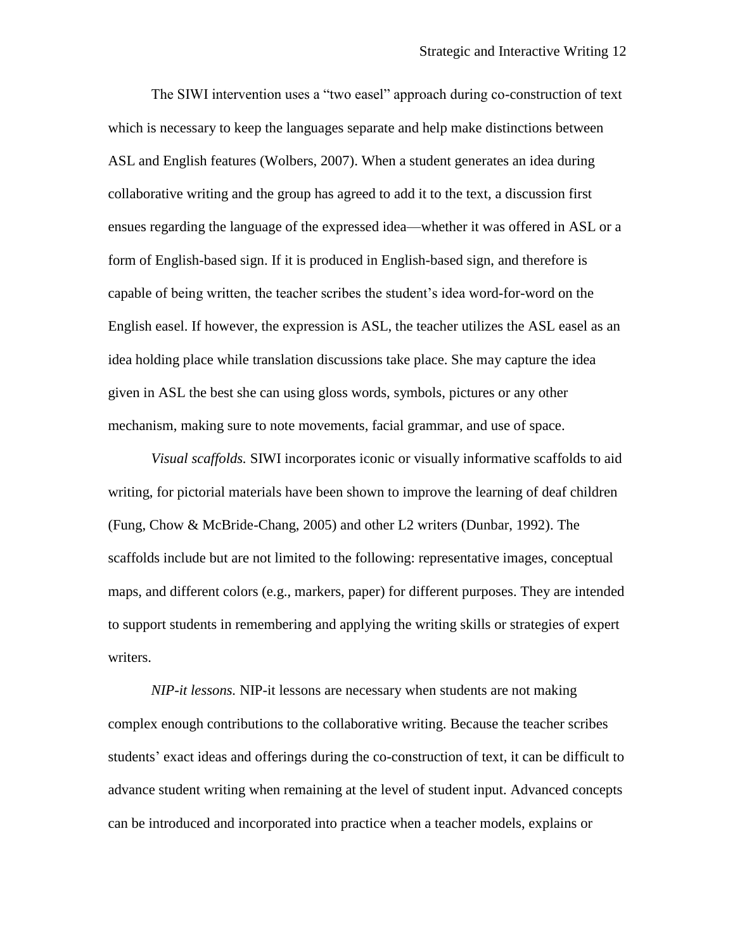The SIWI intervention uses a "two easel" approach during co-construction of text which is necessary to keep the languages separate and help make distinctions between ASL and English features (Wolbers, 2007). When a student generates an idea during collaborative writing and the group has agreed to add it to the text, a discussion first ensues regarding the language of the expressed idea—whether it was offered in ASL or a form of English-based sign. If it is produced in English-based sign, and therefore is capable of being written, the teacher scribes the student's idea word-for-word on the English easel. If however, the expression is ASL, the teacher utilizes the ASL easel as an idea holding place while translation discussions take place. She may capture the idea given in ASL the best she can using gloss words, symbols, pictures or any other mechanism, making sure to note movements, facial grammar, and use of space.

*Visual scaffolds.* SIWI incorporates iconic or visually informative scaffolds to aid writing, for pictorial materials have been shown to improve the learning of deaf children (Fung, Chow & McBride-Chang, 2005) and other L2 writers (Dunbar, 1992). The scaffolds include but are not limited to the following: representative images, conceptual maps, and different colors (e.g., markers, paper) for different purposes. They are intended to support students in remembering and applying the writing skills or strategies of expert writers.

*NIP-it lessons.* NIP-it lessons are necessary when students are not making complex enough contributions to the collaborative writing. Because the teacher scribes students' exact ideas and offerings during the co-construction of text, it can be difficult to advance student writing when remaining at the level of student input. Advanced concepts can be introduced and incorporated into practice when a teacher models, explains or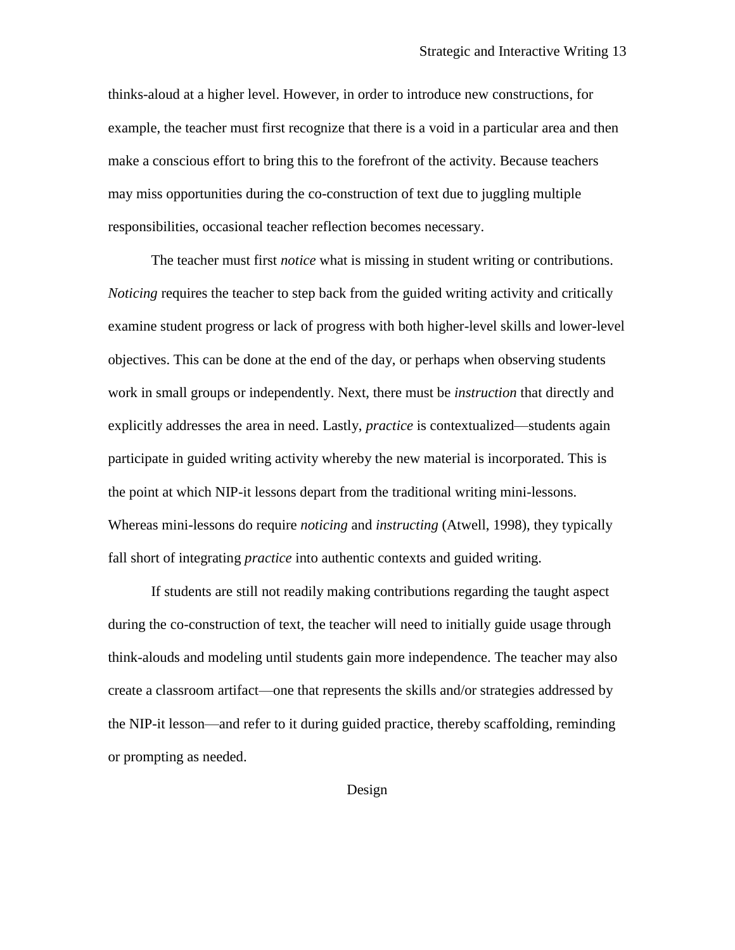thinks-aloud at a higher level. However, in order to introduce new constructions, for example, the teacher must first recognize that there is a void in a particular area and then make a conscious effort to bring this to the forefront of the activity. Because teachers may miss opportunities during the co-construction of text due to juggling multiple responsibilities, occasional teacher reflection becomes necessary.

The teacher must first *notice* what is missing in student writing or contributions. *Noticing* requires the teacher to step back from the guided writing activity and critically examine student progress or lack of progress with both higher-level skills and lower-level objectives. This can be done at the end of the day, or perhaps when observing students work in small groups or independently. Next, there must be *instruction* that directly and explicitly addresses the area in need. Lastly, *practice* is contextualized—students again participate in guided writing activity whereby the new material is incorporated. This is the point at which NIP-it lessons depart from the traditional writing mini-lessons. Whereas mini-lessons do require *noticing* and *instructing* (Atwell, 1998), they typically fall short of integrating *practice* into authentic contexts and guided writing.

If students are still not readily making contributions regarding the taught aspect during the co-construction of text, the teacher will need to initially guide usage through think-alouds and modeling until students gain more independence. The teacher may also create a classroom artifact—one that represents the skills and/or strategies addressed by the NIP-it lesson—and refer to it during guided practice, thereby scaffolding, reminding or prompting as needed.

Design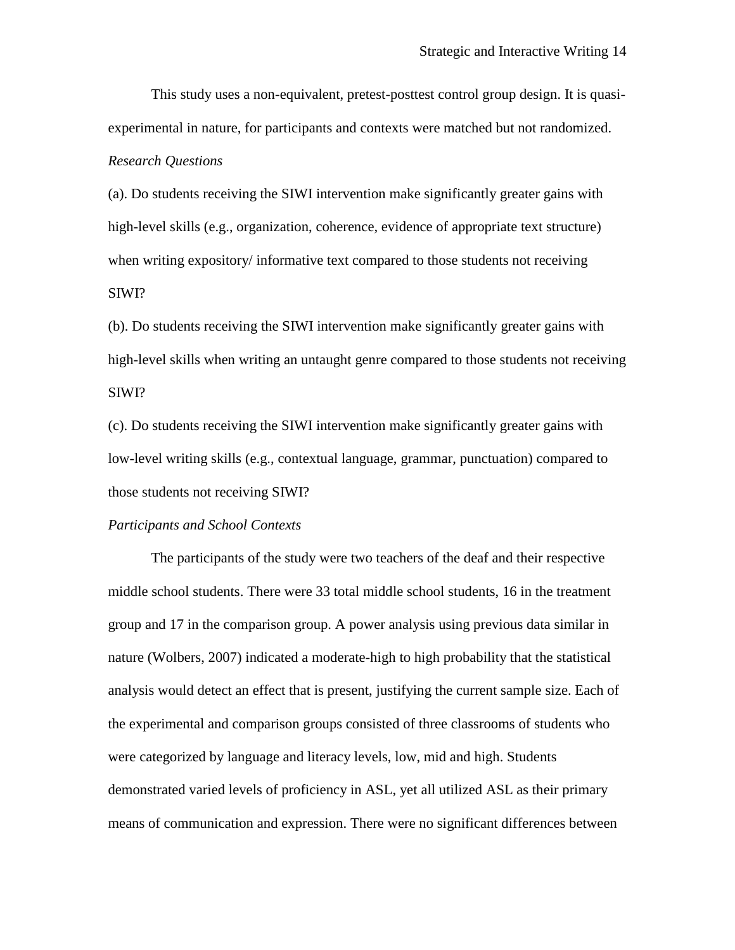This study uses a non-equivalent, pretest-posttest control group design. It is quasiexperimental in nature, for participants and contexts were matched but not randomized. *Research Questions*

(a). Do students receiving the SIWI intervention make significantly greater gains with high-level skills (e.g., organization, coherence, evidence of appropriate text structure) when writing expository/ informative text compared to those students not receiving SIWI?

(b). Do students receiving the SIWI intervention make significantly greater gains with high-level skills when writing an untaught genre compared to those students not receiving SIWI?

(c). Do students receiving the SIWI intervention make significantly greater gains with low-level writing skills (e.g., contextual language, grammar, punctuation) compared to those students not receiving SIWI?

#### *Participants and School Contexts*

The participants of the study were two teachers of the deaf and their respective middle school students. There were 33 total middle school students, 16 in the treatment group and 17 in the comparison group. A power analysis using previous data similar in nature (Wolbers, 2007) indicated a moderate-high to high probability that the statistical analysis would detect an effect that is present, justifying the current sample size. Each of the experimental and comparison groups consisted of three classrooms of students who were categorized by language and literacy levels, low, mid and high. Students demonstrated varied levels of proficiency in ASL, yet all utilized ASL as their primary means of communication and expression. There were no significant differences between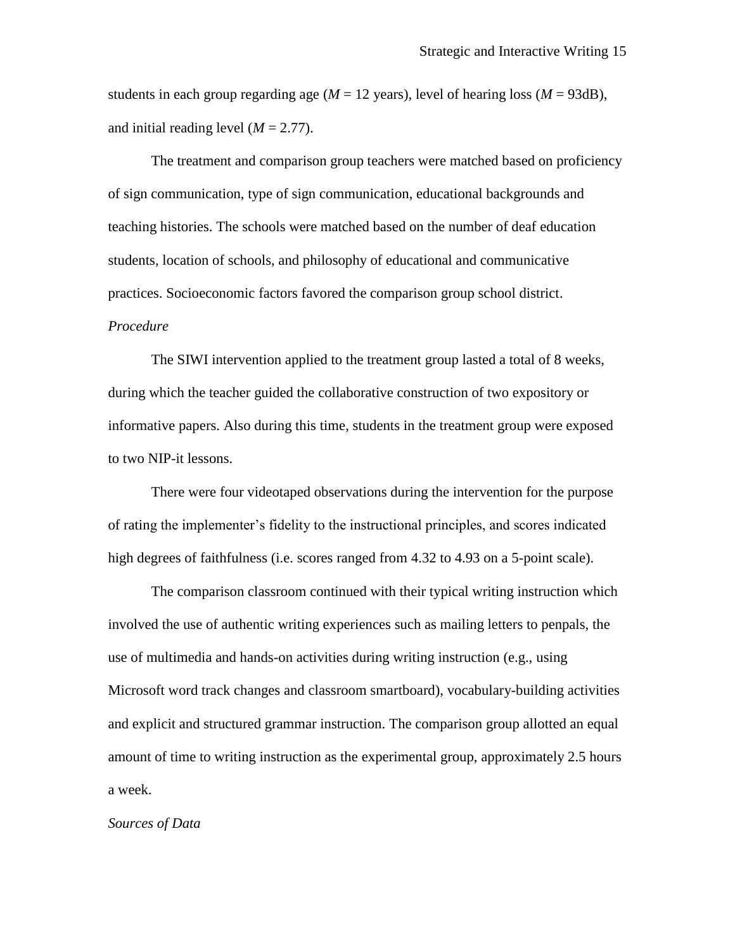students in each group regarding age ( $M = 12$  years), level of hearing loss ( $M = 93dB$ ), and initial reading level  $(M = 2.77)$ .

The treatment and comparison group teachers were matched based on proficiency of sign communication, type of sign communication, educational backgrounds and teaching histories. The schools were matched based on the number of deaf education students, location of schools, and philosophy of educational and communicative practices. Socioeconomic factors favored the comparison group school district. *Procedure*

The SIWI intervention applied to the treatment group lasted a total of 8 weeks, during which the teacher guided the collaborative construction of two expository or informative papers. Also during this time, students in the treatment group were exposed to two NIP-it lessons.

There were four videotaped observations during the intervention for the purpose of rating the implementer's fidelity to the instructional principles, and scores indicated high degrees of faithfulness (i.e. scores ranged from 4.32 to 4.93 on a 5-point scale).

The comparison classroom continued with their typical writing instruction which involved the use of authentic writing experiences such as mailing letters to penpals, the use of multimedia and hands-on activities during writing instruction (e.g., using Microsoft word track changes and classroom smartboard), vocabulary-building activities and explicit and structured grammar instruction. The comparison group allotted an equal amount of time to writing instruction as the experimental group, approximately 2.5 hours a week.

#### *Sources of Data*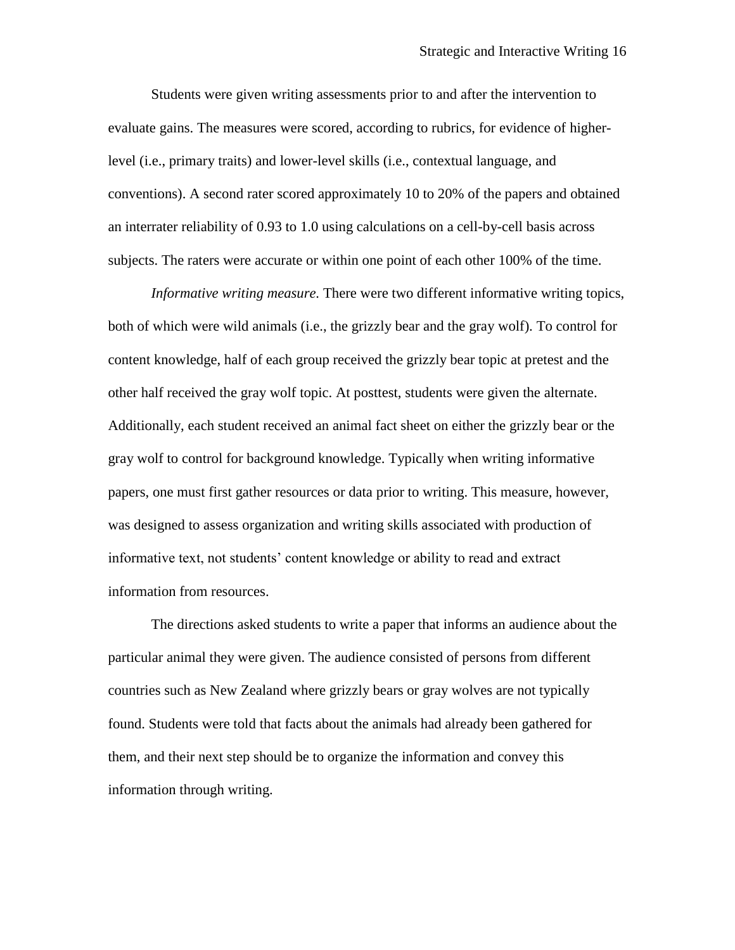Students were given writing assessments prior to and after the intervention to evaluate gains. The measures were scored, according to rubrics, for evidence of higherlevel (i.e., primary traits) and lower-level skills (i.e., contextual language, and conventions). A second rater scored approximately 10 to 20% of the papers and obtained an interrater reliability of 0.93 to 1.0 using calculations on a cell-by-cell basis across subjects. The raters were accurate or within one point of each other 100% of the time.

*Informative writing measure.* There were two different informative writing topics, both of which were wild animals (i.e., the grizzly bear and the gray wolf). To control for content knowledge, half of each group received the grizzly bear topic at pretest and the other half received the gray wolf topic. At posttest, students were given the alternate. Additionally, each student received an animal fact sheet on either the grizzly bear or the gray wolf to control for background knowledge. Typically when writing informative papers, one must first gather resources or data prior to writing. This measure, however, was designed to assess organization and writing skills associated with production of informative text, not students' content knowledge or ability to read and extract information from resources.

The directions asked students to write a paper that informs an audience about the particular animal they were given. The audience consisted of persons from different countries such as New Zealand where grizzly bears or gray wolves are not typically found. Students were told that facts about the animals had already been gathered for them, and their next step should be to organize the information and convey this information through writing.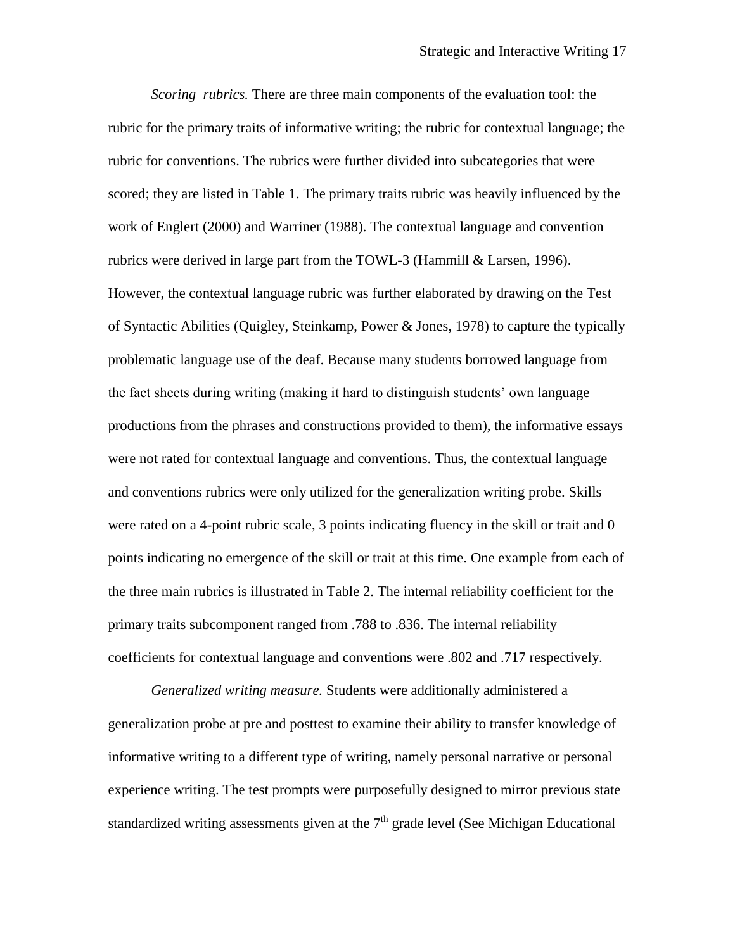*Scoring rubrics.* There are three main components of the evaluation tool: the rubric for the primary traits of informative writing; the rubric for contextual language; the rubric for conventions. The rubrics were further divided into subcategories that were scored; they are listed in Table 1. The primary traits rubric was heavily influenced by the work of Englert (2000) and Warriner (1988). The contextual language and convention rubrics were derived in large part from the TOWL-3 (Hammill & Larsen, 1996). However, the contextual language rubric was further elaborated by drawing on the Test of Syntactic Abilities (Quigley, Steinkamp, Power & Jones, 1978) to capture the typically problematic language use of the deaf. Because many students borrowed language from the fact sheets during writing (making it hard to distinguish students' own language productions from the phrases and constructions provided to them), the informative essays were not rated for contextual language and conventions. Thus, the contextual language and conventions rubrics were only utilized for the generalization writing probe. Skills were rated on a 4-point rubric scale, 3 points indicating fluency in the skill or trait and 0 points indicating no emergence of the skill or trait at this time. One example from each of the three main rubrics is illustrated in Table 2. The internal reliability coefficient for the primary traits subcomponent ranged from .788 to .836. The internal reliability coefficients for contextual language and conventions were .802 and .717 respectively.

*Generalized writing measure.* Students were additionally administered a generalization probe at pre and posttest to examine their ability to transfer knowledge of informative writing to a different type of writing, namely personal narrative or personal experience writing. The test prompts were purposefully designed to mirror previous state standardized writing assessments given at the  $7<sup>th</sup>$  grade level (See Michigan Educational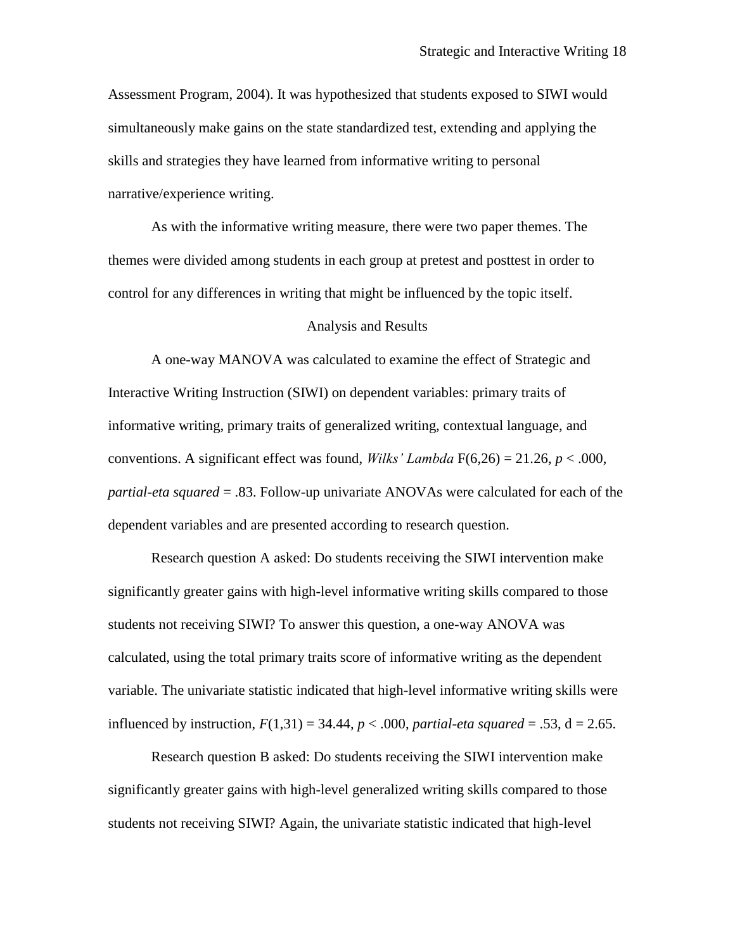Assessment Program, 2004). It was hypothesized that students exposed to SIWI would simultaneously make gains on the state standardized test, extending and applying the skills and strategies they have learned from informative writing to personal narrative/experience writing.

As with the informative writing measure, there were two paper themes. The themes were divided among students in each group at pretest and posttest in order to control for any differences in writing that might be influenced by the topic itself.

#### Analysis and Results

A one-way MANOVA was calculated to examine the effect of Strategic and Interactive Writing Instruction (SIWI) on dependent variables: primary traits of informative writing, primary traits of generalized writing, contextual language, and conventions. A significant effect was found, *Wilks' Lambda* F(6,26) = 21.26, *p* < .000, *partial-eta squared* = .83. Follow-up univariate ANOVAs were calculated for each of the dependent variables and are presented according to research question.

Research question A asked: Do students receiving the SIWI intervention make significantly greater gains with high-level informative writing skills compared to those students not receiving SIWI? To answer this question, a one-way ANOVA was calculated, using the total primary traits score of informative writing as the dependent variable. The univariate statistic indicated that high-level informative writing skills were influenced by instruction,  $F(1,31) = 34.44$ ,  $p < .000$ , *partial-eta squared* = .53, d = 2.65.

Research question B asked: Do students receiving the SIWI intervention make significantly greater gains with high-level generalized writing skills compared to those students not receiving SIWI? Again, the univariate statistic indicated that high-level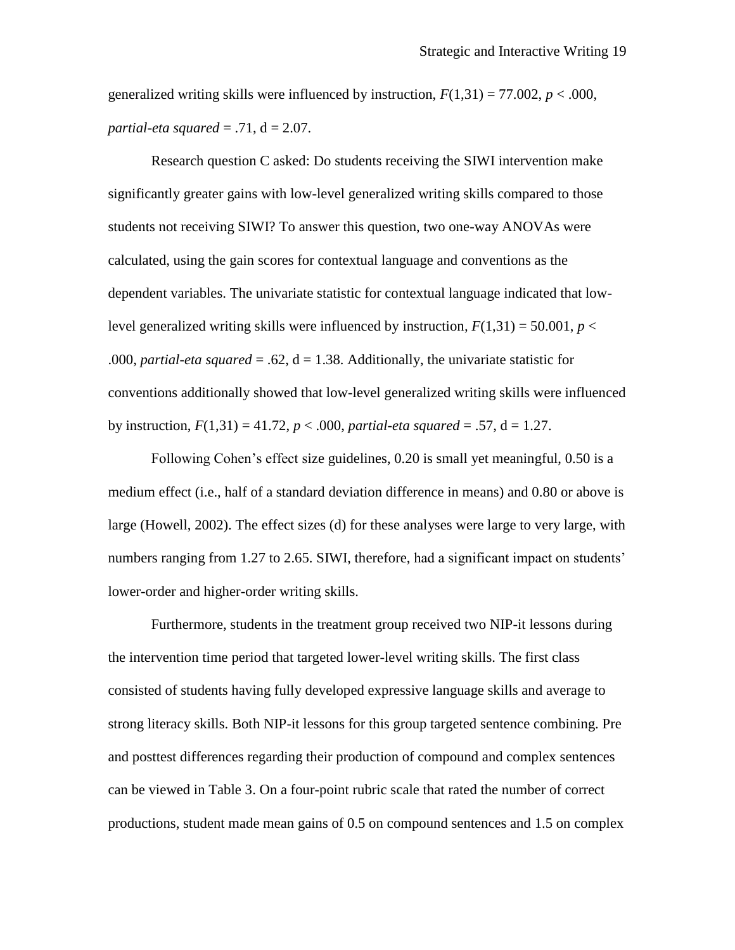generalized writing skills were influenced by instruction,  $F(1,31) = 77.002$ ,  $p < .000$ , *partial-eta squared* =  $.71$ , d =  $2.07$ .

Research question C asked: Do students receiving the SIWI intervention make significantly greater gains with low-level generalized writing skills compared to those students not receiving SIWI? To answer this question, two one-way ANOVAs were calculated, using the gain scores for contextual language and conventions as the dependent variables. The univariate statistic for contextual language indicated that lowlevel generalized writing skills were influenced by instruction,  $F(1,31) = 50.001$ ,  $p <$ .000, *partial-eta squared* = .62,  $d = 1.38$ . Additionally, the univariate statistic for conventions additionally showed that low-level generalized writing skills were influenced by instruction,  $F(1,31) = 41.72$ ,  $p < .000$ , *partial-eta squared* = .57, d = 1.27.

Following Cohen's effect size guidelines, 0.20 is small yet meaningful, 0.50 is a medium effect (i.e., half of a standard deviation difference in means) and 0.80 or above is large (Howell, 2002). The effect sizes (d) for these analyses were large to very large, with numbers ranging from 1.27 to 2.65. SIWI, therefore, had a significant impact on students' lower-order and higher-order writing skills.

Furthermore, students in the treatment group received two NIP-it lessons during the intervention time period that targeted lower-level writing skills. The first class consisted of students having fully developed expressive language skills and average to strong literacy skills. Both NIP-it lessons for this group targeted sentence combining. Pre and posttest differences regarding their production of compound and complex sentences can be viewed in Table 3. On a four-point rubric scale that rated the number of correct productions, student made mean gains of 0.5 on compound sentences and 1.5 on complex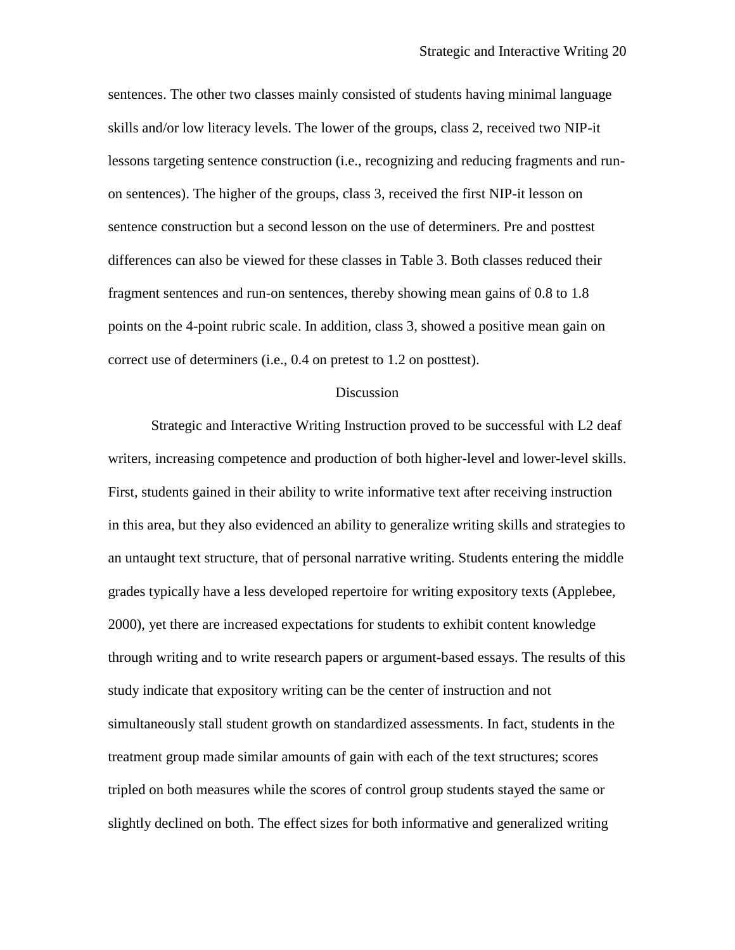sentences. The other two classes mainly consisted of students having minimal language skills and/or low literacy levels. The lower of the groups, class 2, received two NIP-it lessons targeting sentence construction (i.e., recognizing and reducing fragments and runon sentences). The higher of the groups, class 3, received the first NIP-it lesson on sentence construction but a second lesson on the use of determiners. Pre and posttest differences can also be viewed for these classes in Table 3. Both classes reduced their fragment sentences and run-on sentences, thereby showing mean gains of 0.8 to 1.8 points on the 4-point rubric scale. In addition, class 3, showed a positive mean gain on correct use of determiners (i.e., 0.4 on pretest to 1.2 on posttest).

#### Discussion

Strategic and Interactive Writing Instruction proved to be successful with L2 deaf writers, increasing competence and production of both higher-level and lower-level skills. First, students gained in their ability to write informative text after receiving instruction in this area, but they also evidenced an ability to generalize writing skills and strategies to an untaught text structure, that of personal narrative writing. Students entering the middle grades typically have a less developed repertoire for writing expository texts (Applebee, 2000), yet there are increased expectations for students to exhibit content knowledge through writing and to write research papers or argument-based essays. The results of this study indicate that expository writing can be the center of instruction and not simultaneously stall student growth on standardized assessments. In fact, students in the treatment group made similar amounts of gain with each of the text structures; scores tripled on both measures while the scores of control group students stayed the same or slightly declined on both. The effect sizes for both informative and generalized writing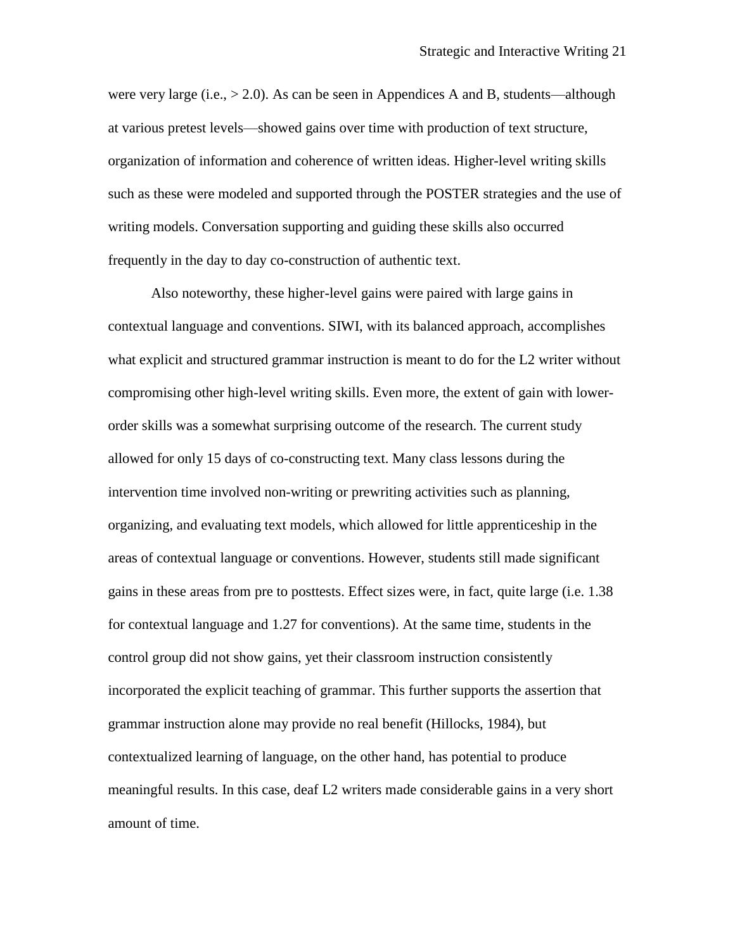were very large (i.e.,  $> 2.0$ ). As can be seen in Appendices A and B, students—although at various pretest levels—showed gains over time with production of text structure, organization of information and coherence of written ideas. Higher-level writing skills such as these were modeled and supported through the POSTER strategies and the use of writing models. Conversation supporting and guiding these skills also occurred frequently in the day to day co-construction of authentic text.

Also noteworthy, these higher-level gains were paired with large gains in contextual language and conventions. SIWI, with its balanced approach, accomplishes what explicit and structured grammar instruction is meant to do for the L2 writer without compromising other high-level writing skills. Even more, the extent of gain with lowerorder skills was a somewhat surprising outcome of the research. The current study allowed for only 15 days of co-constructing text. Many class lessons during the intervention time involved non-writing or prewriting activities such as planning, organizing, and evaluating text models, which allowed for little apprenticeship in the areas of contextual language or conventions. However, students still made significant gains in these areas from pre to posttests. Effect sizes were, in fact, quite large (i.e. 1.38 for contextual language and 1.27 for conventions). At the same time, students in the control group did not show gains, yet their classroom instruction consistently incorporated the explicit teaching of grammar. This further supports the assertion that grammar instruction alone may provide no real benefit (Hillocks, 1984), but contextualized learning of language, on the other hand, has potential to produce meaningful results. In this case, deaf L2 writers made considerable gains in a very short amount of time.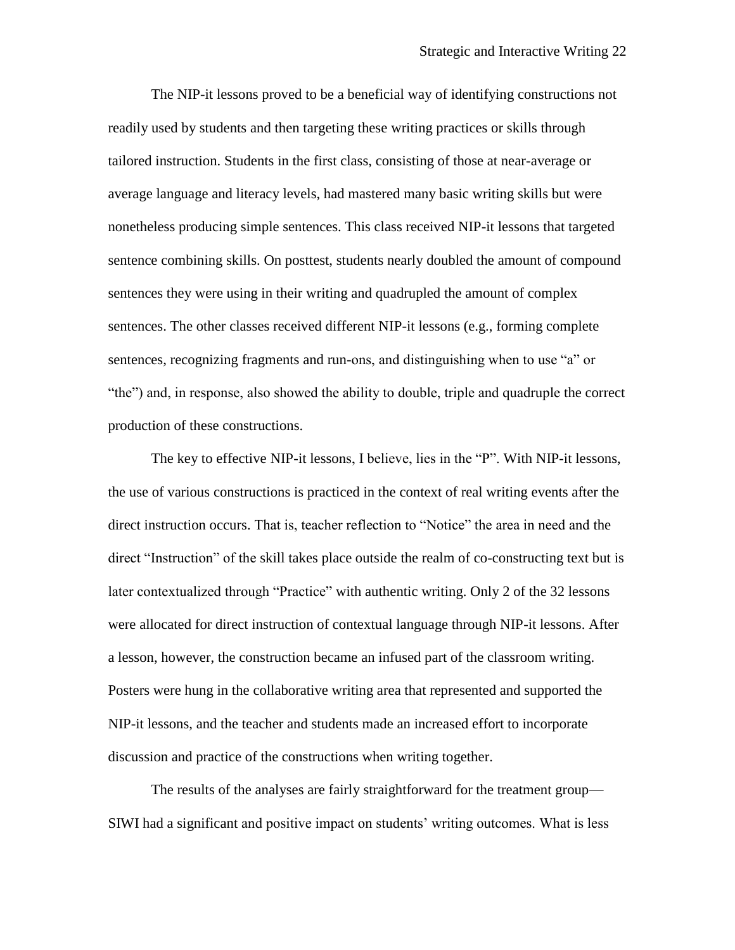The NIP-it lessons proved to be a beneficial way of identifying constructions not readily used by students and then targeting these writing practices or skills through tailored instruction. Students in the first class, consisting of those at near-average or average language and literacy levels, had mastered many basic writing skills but were nonetheless producing simple sentences. This class received NIP-it lessons that targeted sentence combining skills. On posttest, students nearly doubled the amount of compound sentences they were using in their writing and quadrupled the amount of complex sentences. The other classes received different NIP-it lessons (e.g., forming complete sentences, recognizing fragments and run-ons, and distinguishing when to use "a" or "the") and, in response, also showed the ability to double, triple and quadruple the correct production of these constructions.

The key to effective NIP-it lessons, I believe, lies in the "P". With NIP-it lessons, the use of various constructions is practiced in the context of real writing events after the direct instruction occurs. That is, teacher reflection to "Notice" the area in need and the direct "Instruction" of the skill takes place outside the realm of co-constructing text but is later contextualized through "Practice" with authentic writing. Only 2 of the 32 lessons were allocated for direct instruction of contextual language through NIP-it lessons. After a lesson, however, the construction became an infused part of the classroom writing. Posters were hung in the collaborative writing area that represented and supported the NIP-it lessons, and the teacher and students made an increased effort to incorporate discussion and practice of the constructions when writing together.

The results of the analyses are fairly straightforward for the treatment group— SIWI had a significant and positive impact on students' writing outcomes. What is less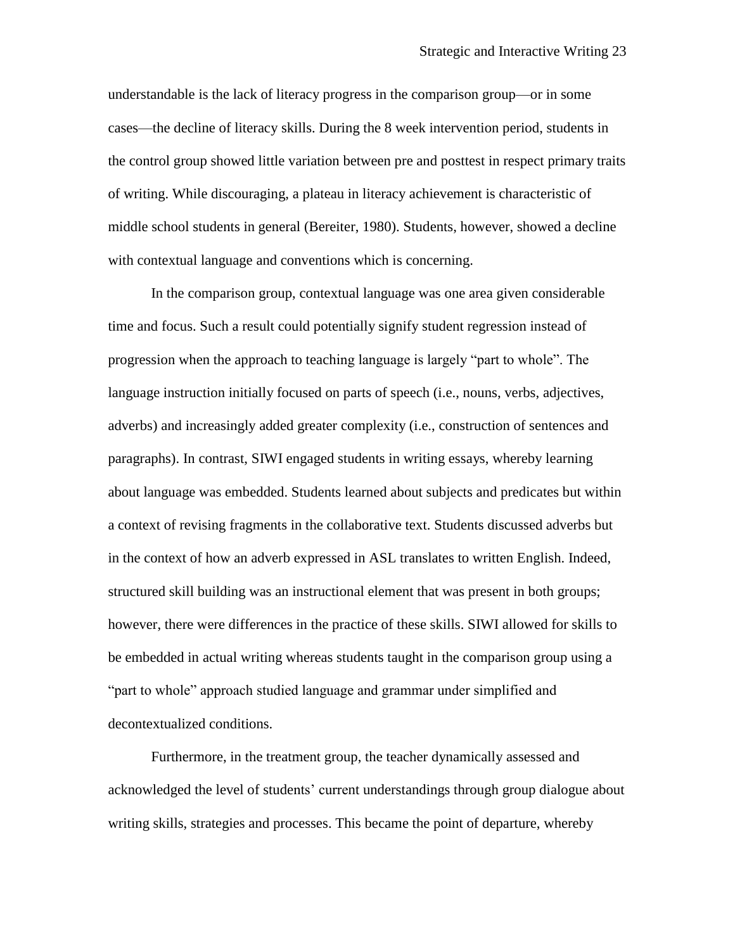understandable is the lack of literacy progress in the comparison group—or in some cases—the decline of literacy skills. During the 8 week intervention period, students in the control group showed little variation between pre and posttest in respect primary traits of writing. While discouraging, a plateau in literacy achievement is characteristic of middle school students in general (Bereiter, 1980). Students, however, showed a decline with contextual language and conventions which is concerning.

In the comparison group, contextual language was one area given considerable time and focus. Such a result could potentially signify student regression instead of progression when the approach to teaching language is largely "part to whole". The language instruction initially focused on parts of speech (i.e., nouns, verbs, adjectives, adverbs) and increasingly added greater complexity (i.e., construction of sentences and paragraphs). In contrast, SIWI engaged students in writing essays, whereby learning about language was embedded. Students learned about subjects and predicates but within a context of revising fragments in the collaborative text. Students discussed adverbs but in the context of how an adverb expressed in ASL translates to written English. Indeed, structured skill building was an instructional element that was present in both groups; however, there were differences in the practice of these skills. SIWI allowed for skills to be embedded in actual writing whereas students taught in the comparison group using a "part to whole" approach studied language and grammar under simplified and decontextualized conditions.

Furthermore, in the treatment group, the teacher dynamically assessed and acknowledged the level of students' current understandings through group dialogue about writing skills, strategies and processes. This became the point of departure, whereby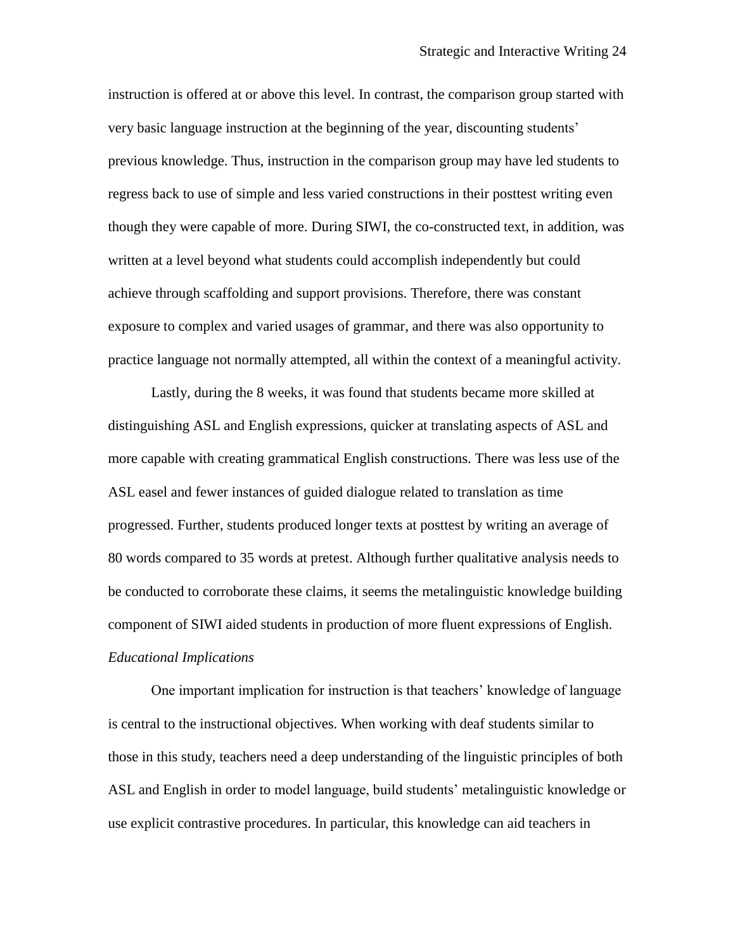instruction is offered at or above this level. In contrast, the comparison group started with very basic language instruction at the beginning of the year, discounting students' previous knowledge. Thus, instruction in the comparison group may have led students to regress back to use of simple and less varied constructions in their posttest writing even though they were capable of more. During SIWI, the co-constructed text, in addition, was written at a level beyond what students could accomplish independently but could achieve through scaffolding and support provisions. Therefore, there was constant exposure to complex and varied usages of grammar, and there was also opportunity to practice language not normally attempted, all within the context of a meaningful activity.

Lastly, during the 8 weeks, it was found that students became more skilled at distinguishing ASL and English expressions, quicker at translating aspects of ASL and more capable with creating grammatical English constructions. There was less use of the ASL easel and fewer instances of guided dialogue related to translation as time progressed. Further, students produced longer texts at posttest by writing an average of 80 words compared to 35 words at pretest. Although further qualitative analysis needs to be conducted to corroborate these claims, it seems the metalinguistic knowledge building component of SIWI aided students in production of more fluent expressions of English. *Educational Implications*

One important implication for instruction is that teachers' knowledge of language is central to the instructional objectives. When working with deaf students similar to those in this study, teachers need a deep understanding of the linguistic principles of both ASL and English in order to model language, build students' metalinguistic knowledge or use explicit contrastive procedures. In particular, this knowledge can aid teachers in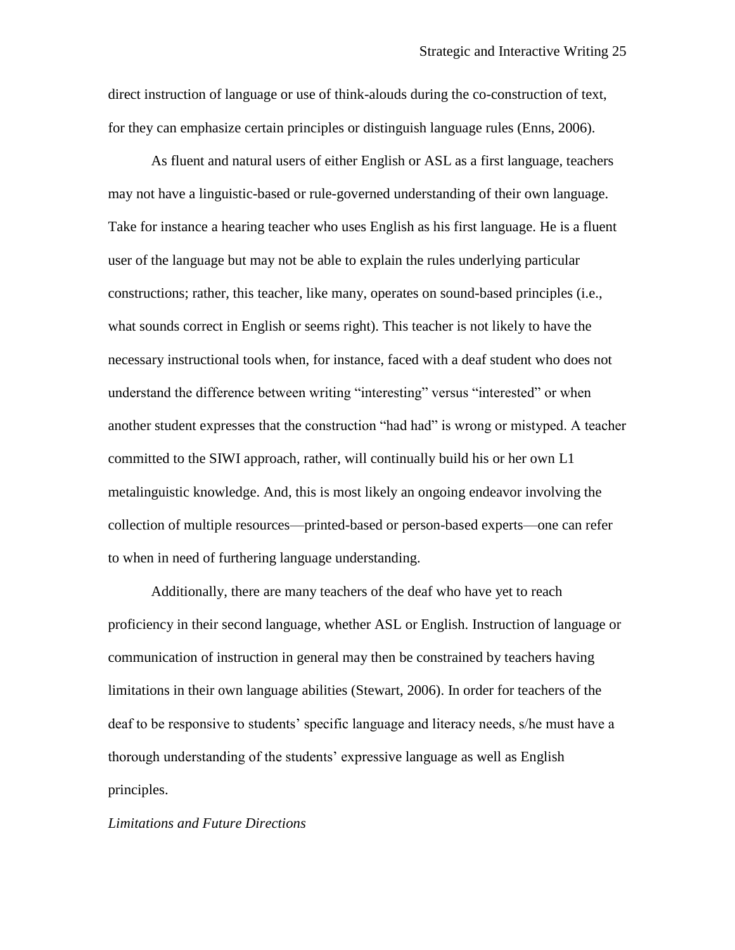direct instruction of language or use of think-alouds during the co-construction of text, for they can emphasize certain principles or distinguish language rules (Enns, 2006).

As fluent and natural users of either English or ASL as a first language, teachers may not have a linguistic-based or rule-governed understanding of their own language. Take for instance a hearing teacher who uses English as his first language. He is a fluent user of the language but may not be able to explain the rules underlying particular constructions; rather, this teacher, like many, operates on sound-based principles (i.e., what sounds correct in English or seems right). This teacher is not likely to have the necessary instructional tools when, for instance, faced with a deaf student who does not understand the difference between writing "interesting" versus "interested" or when another student expresses that the construction "had had" is wrong or mistyped. A teacher committed to the SIWI approach, rather, will continually build his or her own L1 metalinguistic knowledge. And, this is most likely an ongoing endeavor involving the collection of multiple resources—printed-based or person-based experts—one can refer to when in need of furthering language understanding.

Additionally, there are many teachers of the deaf who have yet to reach proficiency in their second language, whether ASL or English. Instruction of language or communication of instruction in general may then be constrained by teachers having limitations in their own language abilities (Stewart, 2006). In order for teachers of the deaf to be responsive to students' specific language and literacy needs, s/he must have a thorough understanding of the students' expressive language as well as English principles.

#### *Limitations and Future Directions*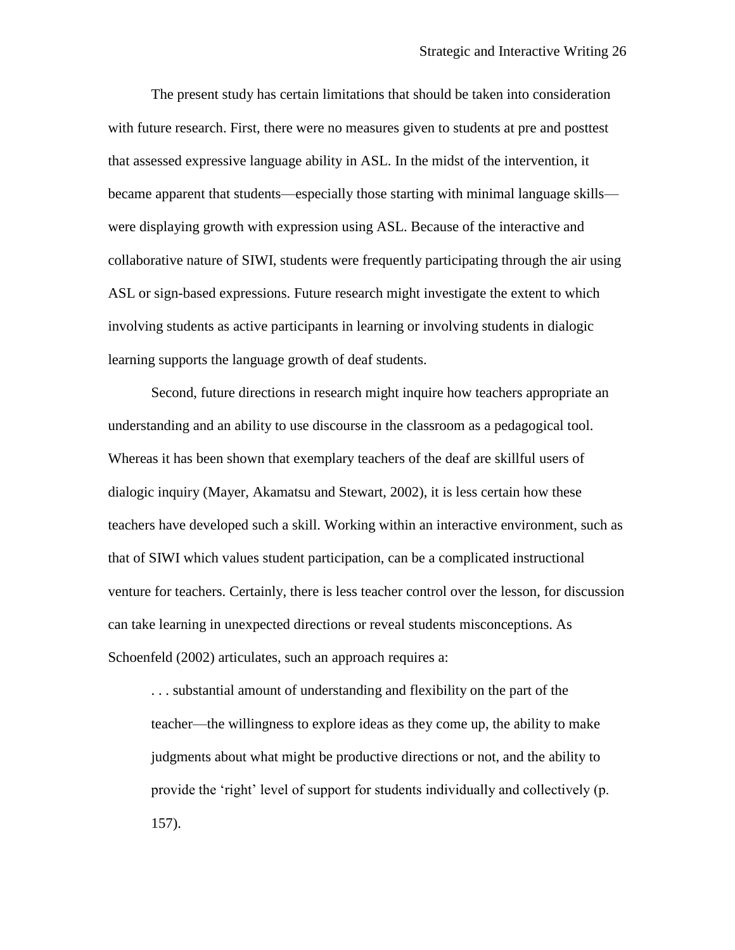The present study has certain limitations that should be taken into consideration with future research. First, there were no measures given to students at pre and posttest that assessed expressive language ability in ASL. In the midst of the intervention, it became apparent that students—especially those starting with minimal language skills were displaying growth with expression using ASL. Because of the interactive and collaborative nature of SIWI, students were frequently participating through the air using ASL or sign-based expressions. Future research might investigate the extent to which involving students as active participants in learning or involving students in dialogic learning supports the language growth of deaf students.

Second, future directions in research might inquire how teachers appropriate an understanding and an ability to use discourse in the classroom as a pedagogical tool. Whereas it has been shown that exemplary teachers of the deaf are skillful users of dialogic inquiry (Mayer, Akamatsu and Stewart, 2002), it is less certain how these teachers have developed such a skill. Working within an interactive environment, such as that of SIWI which values student participation, can be a complicated instructional venture for teachers. Certainly, there is less teacher control over the lesson, for discussion can take learning in unexpected directions or reveal students misconceptions. As Schoenfeld (2002) articulates, such an approach requires a:

. . . substantial amount of understanding and flexibility on the part of the teacher—the willingness to explore ideas as they come up, the ability to make judgments about what might be productive directions or not, and the ability to provide the 'right' level of support for students individually and collectively (p. 157).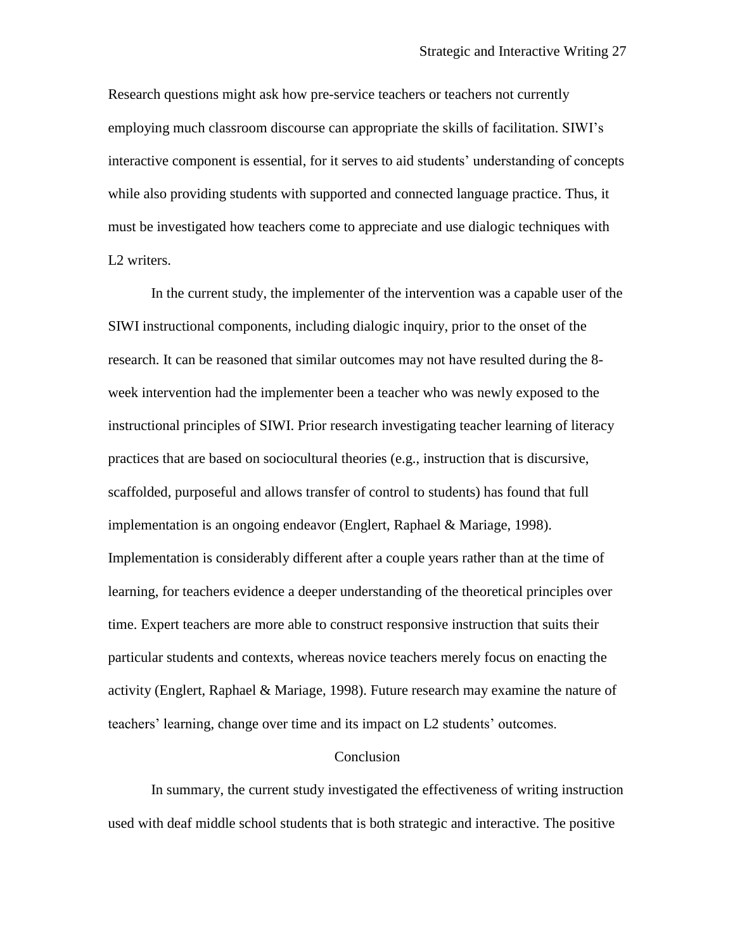Research questions might ask how pre-service teachers or teachers not currently employing much classroom discourse can appropriate the skills of facilitation. SIWI's interactive component is essential, for it serves to aid students' understanding of concepts while also providing students with supported and connected language practice. Thus, it must be investigated how teachers come to appreciate and use dialogic techniques with L<sub>2</sub> writers.

In the current study, the implementer of the intervention was a capable user of the SIWI instructional components, including dialogic inquiry, prior to the onset of the research. It can be reasoned that similar outcomes may not have resulted during the 8 week intervention had the implementer been a teacher who was newly exposed to the instructional principles of SIWI. Prior research investigating teacher learning of literacy practices that are based on sociocultural theories (e.g., instruction that is discursive, scaffolded, purposeful and allows transfer of control to students) has found that full implementation is an ongoing endeavor (Englert, Raphael & Mariage, 1998). Implementation is considerably different after a couple years rather than at the time of learning, for teachers evidence a deeper understanding of the theoretical principles over time. Expert teachers are more able to construct responsive instruction that suits their particular students and contexts, whereas novice teachers merely focus on enacting the activity (Englert, Raphael & Mariage, 1998). Future research may examine the nature of teachers' learning, change over time and its impact on L2 students' outcomes.

#### Conclusion

In summary, the current study investigated the effectiveness of writing instruction used with deaf middle school students that is both strategic and interactive. The positive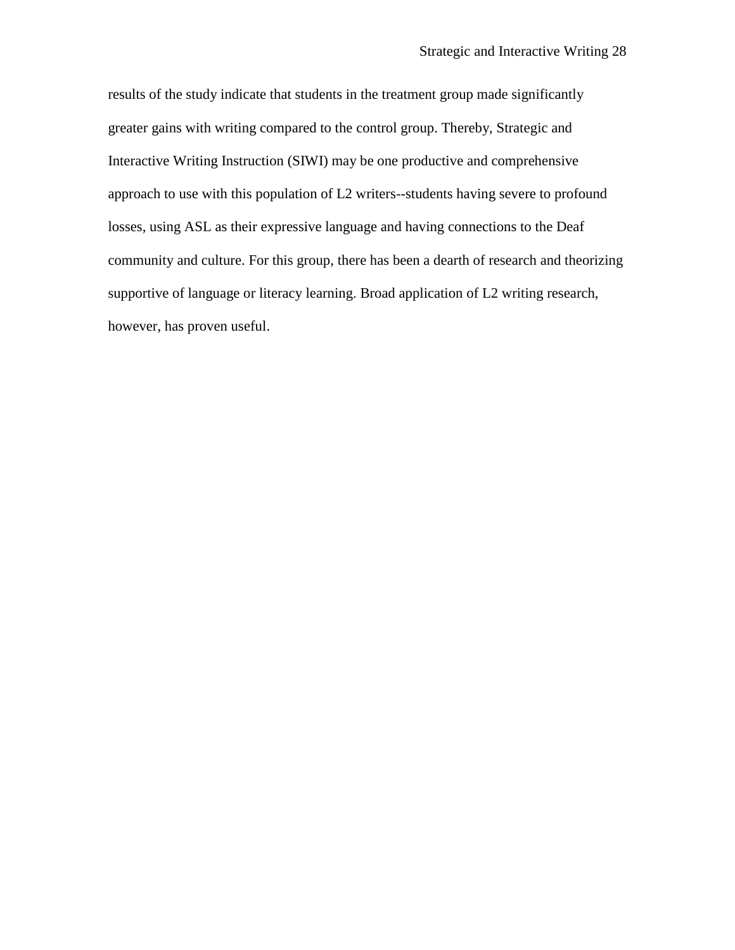results of the study indicate that students in the treatment group made significantly greater gains with writing compared to the control group. Thereby, Strategic and Interactive Writing Instruction (SIWI) may be one productive and comprehensive approach to use with this population of L2 writers--students having severe to profound losses, using ASL as their expressive language and having connections to the Deaf community and culture. For this group, there has been a dearth of research and theorizing supportive of language or literacy learning. Broad application of L2 writing research, however, has proven useful.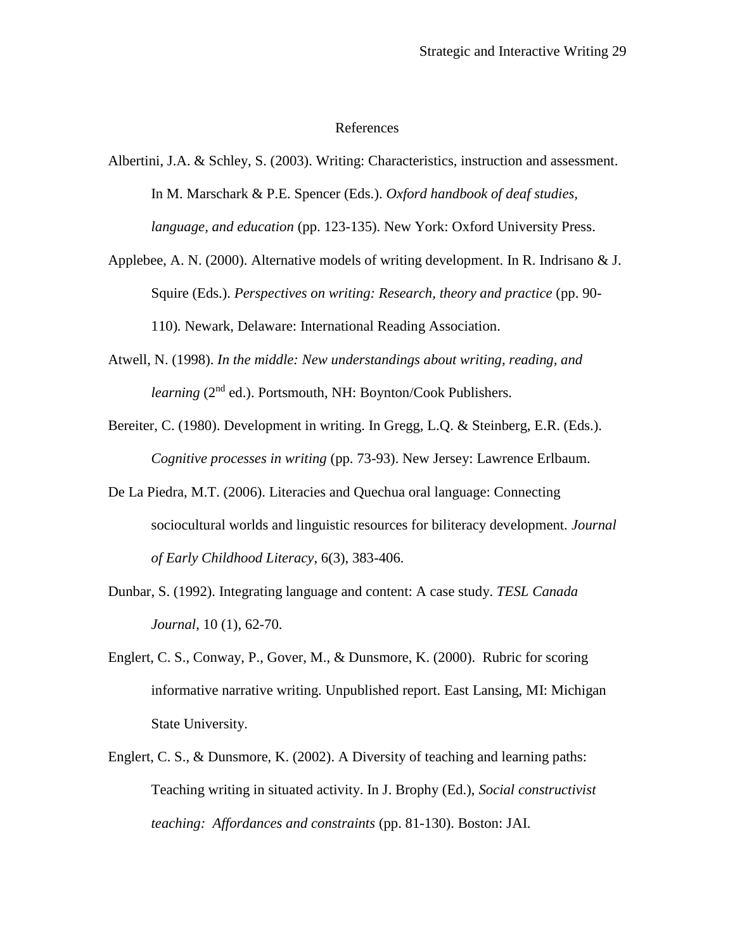#### References

Albertini, J.A. & Schley, S. (2003). Writing: Characteristics, instruction and assessment. In M. Marschark & P.E. Spencer (Eds.). *Oxford handbook of deaf studies, language, and education* (pp. 123-135). New York: Oxford University Press.

Applebee, A. N. (2000). Alternative models of writing development. In R. Indrisano & J. Squire (Eds.). *Perspectives on writing: Research, theory and practice* (pp. 90- 110)*.* Newark, Delaware: International Reading Association.

- Atwell, N. (1998). *In the middle: New understandings about writing, reading, and learning* (2<sup>nd</sup> ed.). Portsmouth, NH: Boynton/Cook Publishers.
- Bereiter, C. (1980). Development in writing. In Gregg, L.Q. & Steinberg, E.R. (Eds.). *Cognitive processes in writing* (pp. 73-93). New Jersey: Lawrence Erlbaum.
- De La Piedra, M.T. (2006). Literacies and Quechua oral language: Connecting sociocultural worlds and linguistic resources for biliteracy development. *Journal of Early Childhood Literacy*, 6(3), 383-406.
- Dunbar, S. (1992). Integrating language and content: A case study. *TESL Canada Journal*, 10 (1), 62-70.
- Englert, C. S., Conway, P., Gover, M., & Dunsmore, K. (2000). Rubric for scoring informative narrative writing. Unpublished report. East Lansing, MI: Michigan State University.
- Englert, C. S., & Dunsmore, K. (2002). A Diversity of teaching and learning paths: Teaching writing in situated activity. In J. Brophy (Ed.), *Social constructivist teaching: Affordances and constraints* (pp. 81-130). Boston: JAI.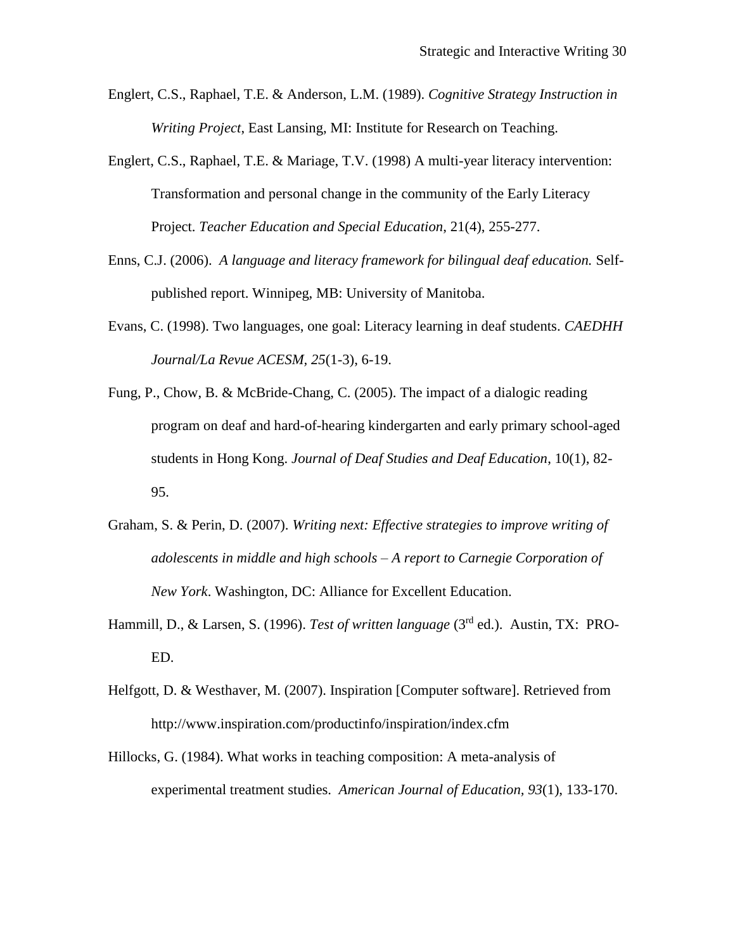- Englert, C.S., Raphael, T.E. & Anderson, L.M. (1989). *Cognitive Strategy Instruction in Writing Project*, East Lansing, MI: Institute for Research on Teaching.
- Englert, C.S., Raphael, T.E. & Mariage, T.V. (1998) A multi-year literacy intervention: Transformation and personal change in the community of the Early Literacy Project. *Teacher Education and Special Education*, 21(4), 255-277.
- Enns, C.J. (2006). *A language and literacy framework for bilingual deaf education.* Selfpublished report. Winnipeg, MB: University of Manitoba.
- Evans, C. (1998). Two languages, one goal: Literacy learning in deaf students. *CAEDHH Journal/La Revue ACESM, 25*(1-3), 6-19.
- Fung, P., Chow, B. & McBride-Chang, C. (2005). The impact of a dialogic reading program on deaf and hard-of-hearing kindergarten and early primary school-aged students in Hong Kong. *Journal of Deaf Studies and Deaf Education*, 10(1), 82- 95.
- Graham, S. & Perin, D. (2007). *Writing next: Effective strategies to improve writing of adolescents in middle and high schools – A report to Carnegie Corporation of New York*. Washington, DC: Alliance for Excellent Education.
- Hammill, D., & Larsen, S. (1996). *Test of written language* (3rd ed.). Austin, TX: PRO-ED.
- Helfgott, D. & Westhaver, M. (2007). Inspiration [Computer software]. Retrieved from http://www.inspiration.com/productinfo/inspiration/index.cfm
- Hillocks, G. (1984). What works in teaching composition: A meta-analysis of experimental treatment studies. *American Journal of Education, 93*(1), 133-170.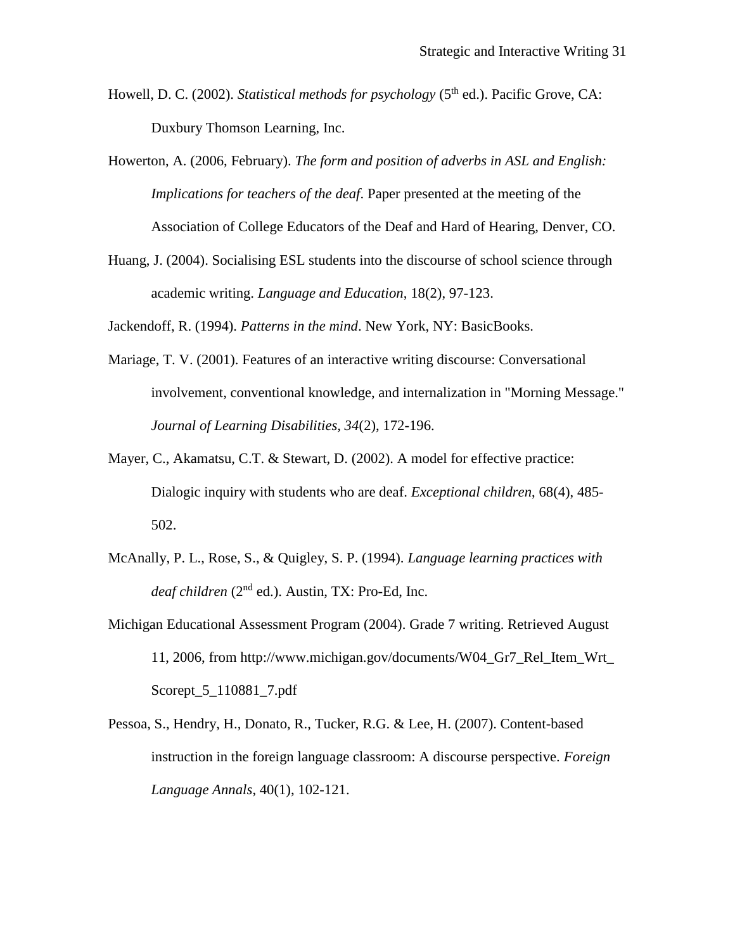- Howell, D. C. (2002). *Statistical methods for psychology* (5<sup>th</sup> ed.). Pacific Grove, CA: Duxbury Thomson Learning, Inc.
- Howerton, A. (2006, February). *The form and position of adverbs in ASL and English: Implications for teachers of the deaf*. Paper presented at the meeting of the Association of College Educators of the Deaf and Hard of Hearing, Denver, CO.
- Huang, J. (2004). Socialising ESL students into the discourse of school science through academic writing. *Language and Education*, 18(2), 97-123.

Jackendoff, R. (1994). *Patterns in the mind*. New York, NY: BasicBooks.

- Mariage, T. V. (2001). Features of an interactive writing discourse: Conversational involvement, conventional knowledge, and internalization in "Morning Message." *Journal of Learning Disabilities, 34*(2), 172-196.
- Mayer, C., Akamatsu, C.T. & Stewart, D. (2002). A model for effective practice: Dialogic inquiry with students who are deaf. *Exceptional children*, 68(4), 485- 502.
- McAnally, P. L., Rose, S., & Quigley, S. P. (1994). *Language learning practices with deaf children* (2nd ed.). Austin, TX: Pro-Ed, Inc.
- Michigan Educational Assessment Program (2004). Grade 7 writing. Retrieved August 11, 2006, from http://www.michigan.gov/documents/W04\_Gr7\_Rel\_Item\_Wrt\_ Scorept\_5\_110881\_7.pdf
- Pessoa, S., Hendry, H., Donato, R., Tucker, R.G. & Lee, H. (2007). Content-based instruction in the foreign language classroom: A discourse perspective. *Foreign Language Annals*, 40(1), 102-121.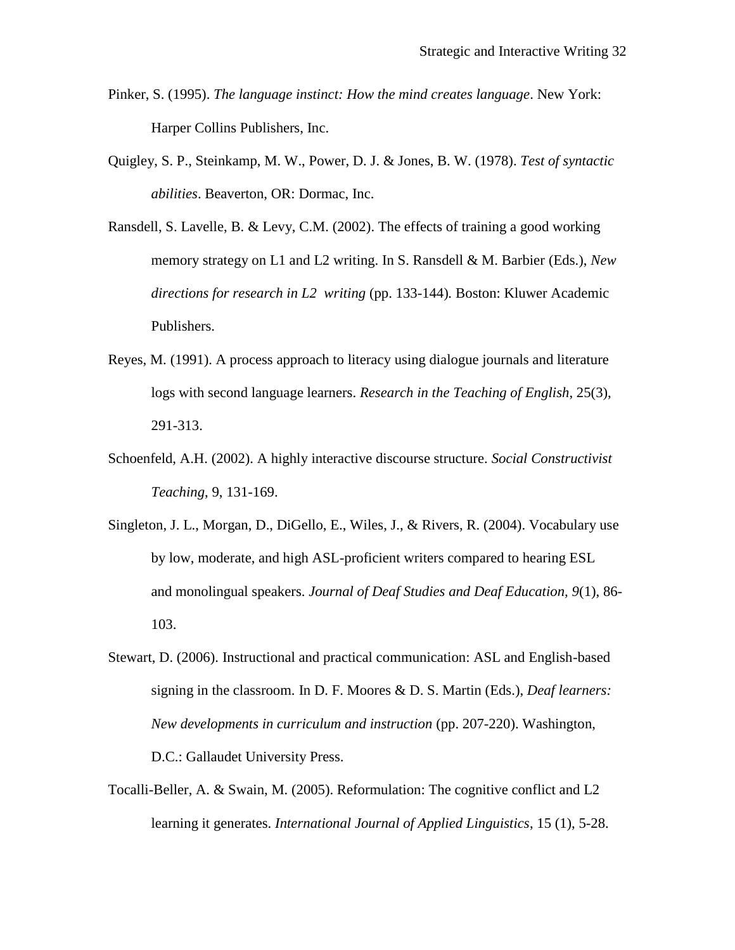- Pinker, S. (1995). *The language instinct: How the mind creates language*. New York: Harper Collins Publishers, Inc.
- Quigley, S. P., Steinkamp, M. W., Power, D. J. & Jones, B. W. (1978). *Test of syntactic abilities*. Beaverton, OR: Dormac, Inc.
- Ransdell, S. Lavelle, B. & Levy, C.M. (2002). The effects of training a good working memory strategy on L1 and L2 writing. In S. Ransdell & M. Barbier (Eds.), *New directions for research in L2 writing* (pp. 133-144)*.* Boston: Kluwer Academic Publishers.
- Reyes, M. (1991). A process approach to literacy using dialogue journals and literature logs with second language learners. *Research in the Teaching of English*, 25(3), 291-313.
- Schoenfeld, A.H. (2002). A highly interactive discourse structure. *Social Constructivist Teaching*, 9, 131-169.
- Singleton, J. L., Morgan, D., DiGello, E., Wiles, J., & Rivers, R. (2004). Vocabulary use by low, moderate, and high ASL-proficient writers compared to hearing ESL and monolingual speakers. *Journal of Deaf Studies and Deaf Education, 9*(1), 86- 103.
- Stewart, D. (2006). Instructional and practical communication: ASL and English-based signing in the classroom. In D. F. Moores & D. S. Martin (Eds.), *Deaf learners: New developments in curriculum and instruction* (pp. 207-220). Washington, D.C.: Gallaudet University Press.
- Tocalli-Beller, A. & Swain, M. (2005). Reformulation: The cognitive conflict and L2 learning it generates. *International Journal of Applied Linguistics*, 15 (1), 5-28.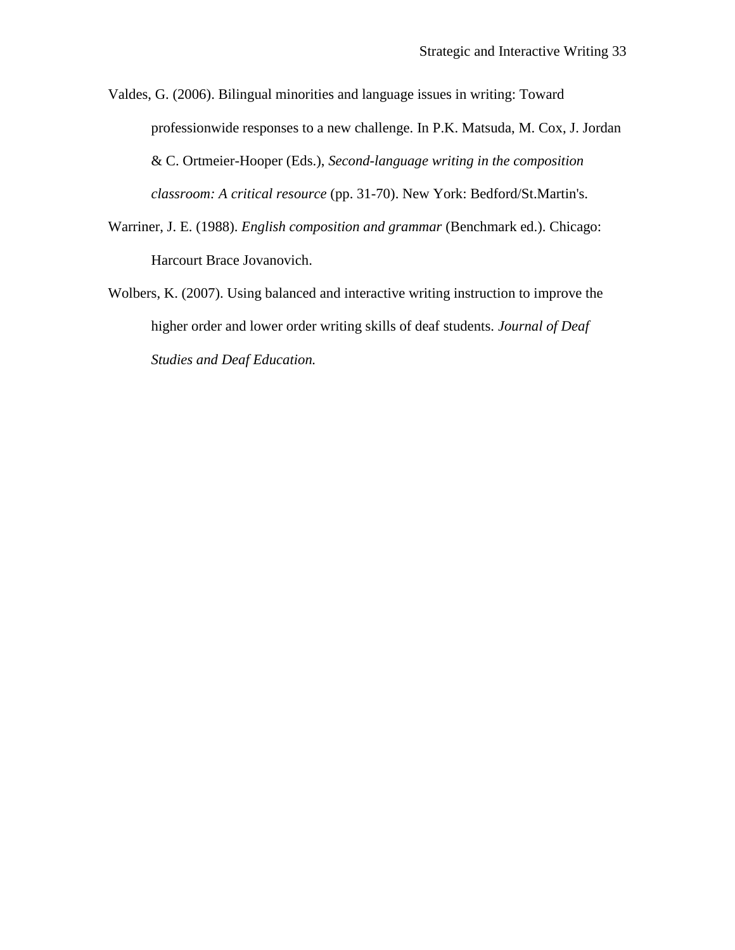Valdes, G. (2006). Bilingual minorities and language issues in writing: Toward professionwide responses to a new challenge. In P.K. Matsuda, M. Cox, J. Jordan & C. Ortmeier-Hooper (Eds.), *Second-language writing in the composition classroom: A critical resource* (pp. 31-70). New York: Bedford/St.Martin's.

- Warriner, J. E. (1988). *English composition and grammar* (Benchmark ed.). Chicago: Harcourt Brace Jovanovich.
- Wolbers, K. (2007). Using balanced and interactive writing instruction to improve the higher order and lower order writing skills of deaf students. *Journal of Deaf Studies and Deaf Education.*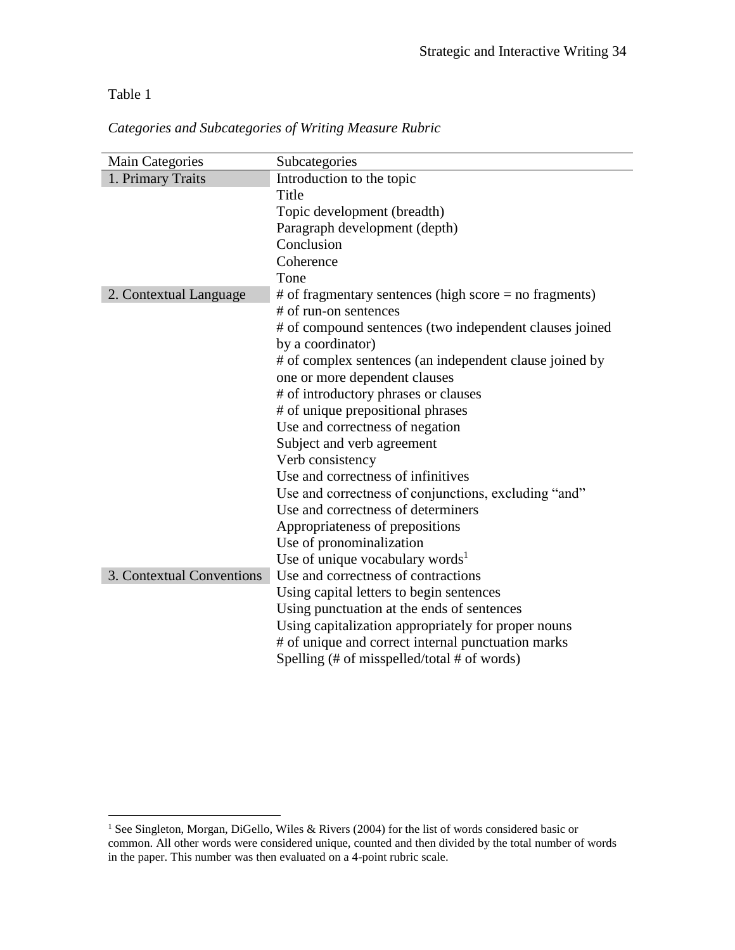### Table 1

 $\overline{a}$ 

*Categories and Subcategories of Writing Measure Rubric*

| <b>Main Categories</b>    | Subcategories                                            |  |  |
|---------------------------|----------------------------------------------------------|--|--|
| 1. Primary Traits         | Introduction to the topic                                |  |  |
|                           | Title                                                    |  |  |
|                           | Topic development (breadth)                              |  |  |
|                           | Paragraph development (depth)                            |  |  |
|                           | Conclusion<br>Coherence                                  |  |  |
|                           |                                                          |  |  |
|                           | Tone                                                     |  |  |
| 2. Contextual Language    | $#$ of fragmentary sentences (high score = no fragments) |  |  |
|                           | # of run-on sentences                                    |  |  |
|                           | # of compound sentences (two independent clauses joined  |  |  |
|                           | by a coordinator)                                        |  |  |
|                           | # of complex sentences (an independent clause joined by  |  |  |
|                           | one or more dependent clauses                            |  |  |
|                           | # of introductory phrases or clauses                     |  |  |
|                           | # of unique prepositional phrases                        |  |  |
|                           | Use and correctness of negation                          |  |  |
|                           | Subject and verb agreement                               |  |  |
|                           | Verb consistency                                         |  |  |
|                           | Use and correctness of infinitives                       |  |  |
|                           | Use and correctness of conjunctions, excluding "and"     |  |  |
|                           | Use and correctness of determiners                       |  |  |
|                           | Appropriateness of prepositions                          |  |  |
|                           | Use of pronominalization                                 |  |  |
|                           | Use of unique vocabulary words <sup>1</sup>              |  |  |
| 3. Contextual Conventions | Use and correctness of contractions                      |  |  |
|                           | Using capital letters to begin sentences                 |  |  |
|                           | Using punctuation at the ends of sentences               |  |  |
|                           | Using capitalization appropriately for proper nouns      |  |  |
|                           | # of unique and correct internal punctuation marks       |  |  |
|                           | Spelling (# of misspelled/total # of words)              |  |  |

<sup>&</sup>lt;sup>1</sup> See Singleton, Morgan, DiGello, Wiles & Rivers (2004) for the list of words considered basic or common. All other words were considered unique, counted and then divided by the total number of words in the paper. This number was then evaluated on a 4-point rubric scale.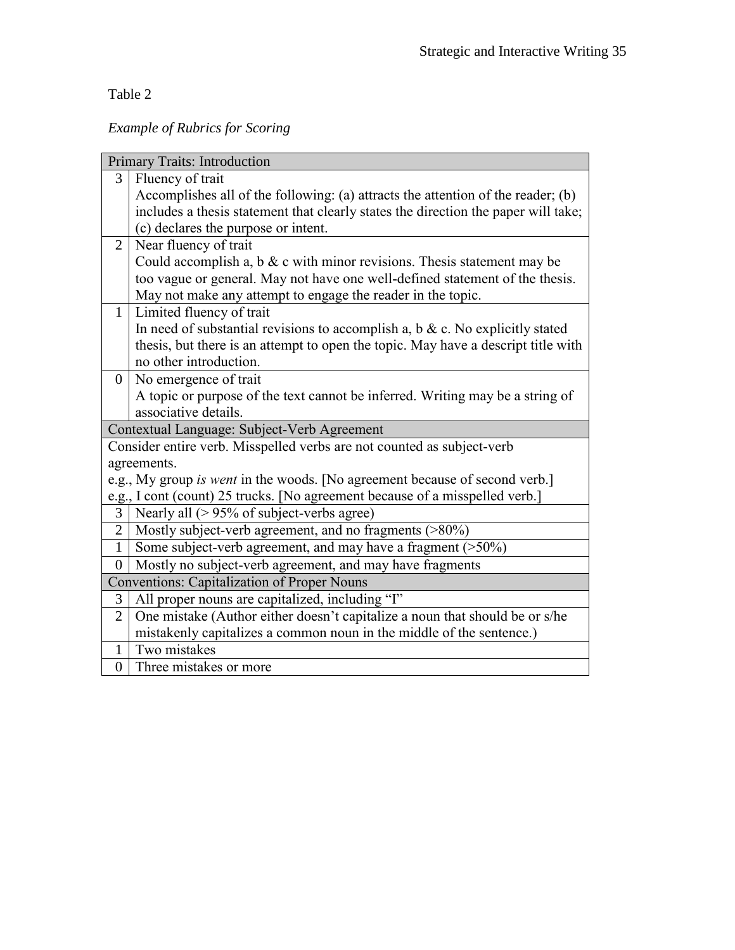Table 2

*Example of Rubrics for Scoring*

|                                                    | <b>Primary Traits: Introduction</b>                                                |  |  |
|----------------------------------------------------|------------------------------------------------------------------------------------|--|--|
| 3                                                  | Fluency of trait                                                                   |  |  |
|                                                    | Accomplishes all of the following: (a) attracts the attention of the reader; (b)   |  |  |
|                                                    | includes a thesis statement that clearly states the direction the paper will take; |  |  |
|                                                    | (c) declares the purpose or intent.                                                |  |  |
| $\overline{2}$                                     | Near fluency of trait                                                              |  |  |
|                                                    | Could accomplish a, $b \& c$ with minor revisions. Thesis statement may be         |  |  |
|                                                    | too vague or general. May not have one well-defined statement of the thesis.       |  |  |
|                                                    | May not make any attempt to engage the reader in the topic.                        |  |  |
| $\mathbf{1}$                                       | Limited fluency of trait                                                           |  |  |
|                                                    | In need of substantial revisions to accomplish a, $b \& c$ . No explicitly stated  |  |  |
|                                                    | thesis, but there is an attempt to open the topic. May have a descript title with  |  |  |
|                                                    | no other introduction.                                                             |  |  |
| $\overline{0}$                                     | No emergence of trait                                                              |  |  |
|                                                    | A topic or purpose of the text cannot be inferred. Writing may be a string of      |  |  |
|                                                    | associative details.                                                               |  |  |
|                                                    | Contextual Language: Subject-Verb Agreement                                        |  |  |
|                                                    | Consider entire verb. Misspelled verbs are not counted as subject-verb             |  |  |
|                                                    | agreements.                                                                        |  |  |
|                                                    | e.g., My group is went in the woods. [No agreement because of second verb.]        |  |  |
|                                                    | e.g., I cont (count) 25 trucks. [No agreement because of a misspelled verb.]       |  |  |
|                                                    | 3   Nearly all $(> 95\%$ of subject-verbs agree)                                   |  |  |
| $\overline{2}$                                     | Mostly subject-verb agreement, and no fragments (>80%)                             |  |  |
| $\mathbf{1}$                                       | Some subject-verb agreement, and may have a fragment (>50%)                        |  |  |
| $\Omega$                                           | Mostly no subject-verb agreement, and may have fragments                           |  |  |
| <b>Conventions: Capitalization of Proper Nouns</b> |                                                                                    |  |  |
| 3                                                  | All proper nouns are capitalized, including "I"                                    |  |  |
| $\overline{2}$                                     | One mistake (Author either doesn't capitalize a noun that should be or s/he        |  |  |
|                                                    | mistakenly capitalizes a common noun in the middle of the sentence.)               |  |  |
| $\mathbf{1}$                                       | Two mistakes                                                                       |  |  |
| $\overline{0}$                                     | Three mistakes or more                                                             |  |  |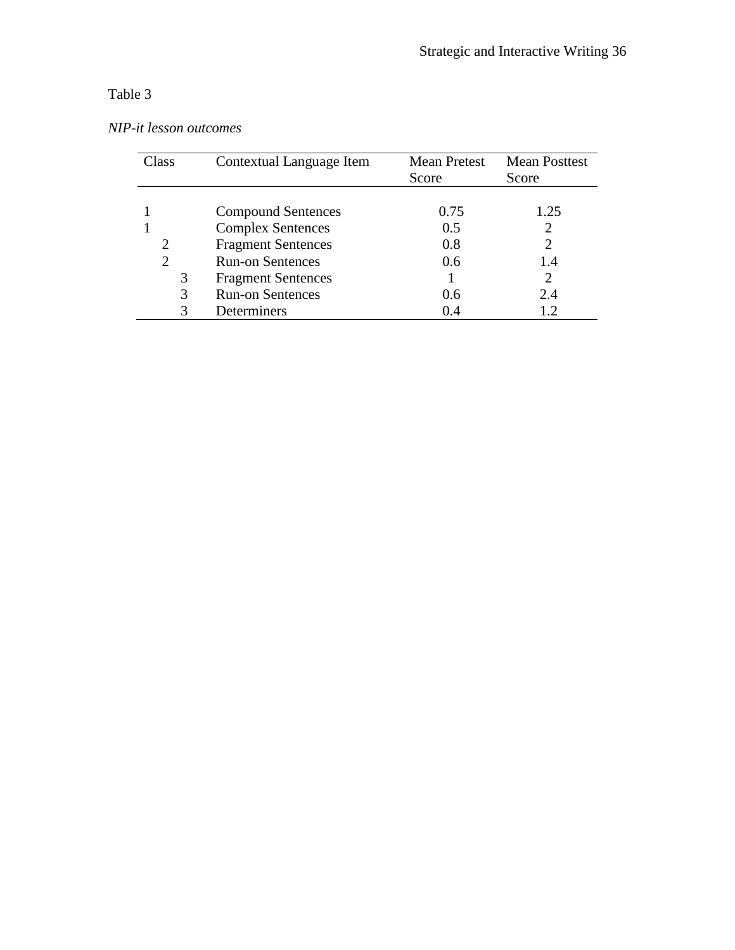## Table 3

|  |  | NIP-it lesson outcomes |
|--|--|------------------------|
|--|--|------------------------|

| Class | Contextual Language Item  | <b>Mean Pretest</b> | <b>Mean Posttest</b> |
|-------|---------------------------|---------------------|----------------------|
|       |                           | Score               | Score                |
|       |                           |                     |                      |
|       | <b>Compound Sentences</b> | 0.75                | 1.25                 |
|       | <b>Complex Sentences</b>  | 0.5                 |                      |
| 2     | <b>Fragment Sentences</b> | 0.8                 |                      |
| 2     | <b>Run-on Sentences</b>   | 0.6                 | 1.4                  |
| 3     | <b>Fragment Sentences</b> |                     |                      |
| 3     | <b>Run-on Sentences</b>   | 0.6                 | 2.4                  |
|       | Determiners               | 0.4                 |                      |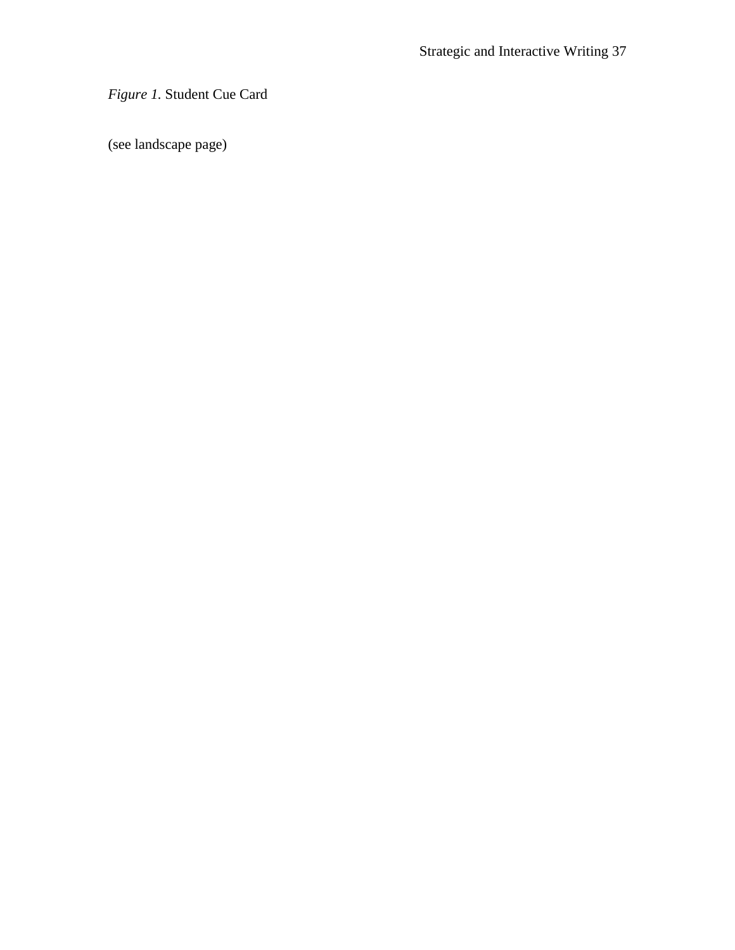*Figure 1.* Student Cue Card

(see landscape page)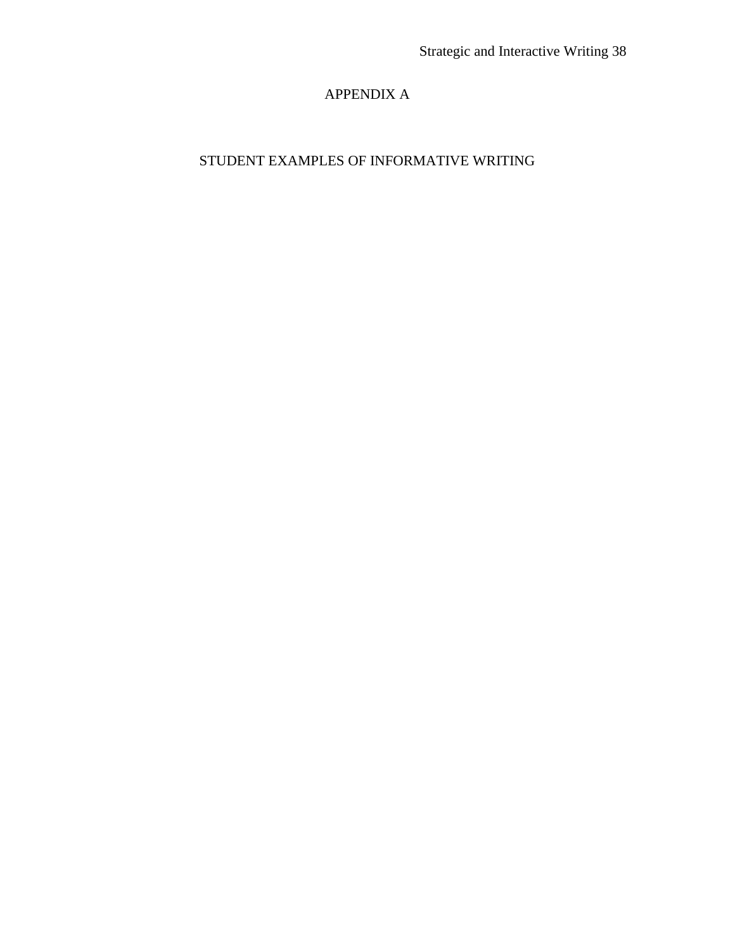## APPENDIX A

## STUDENT EXAMPLES OF INFORMATIVE WRITING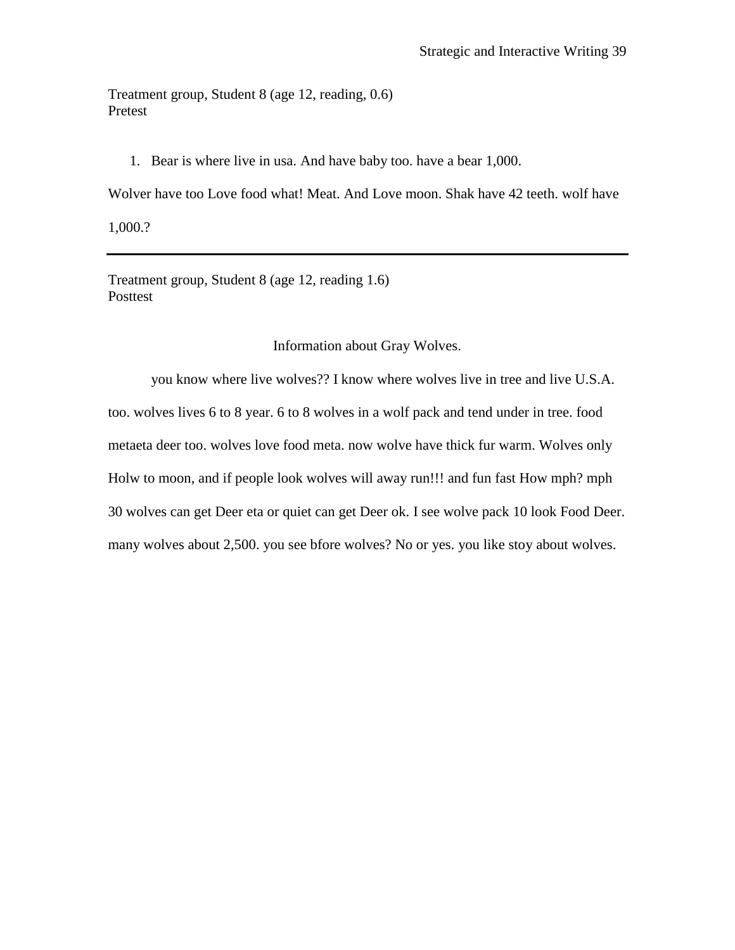Treatment group, Student 8 (age 12, reading, 0.6) Pretest

1. Bear is where live in usa. And have baby too. have a bear 1,000.

Wolver have too Love food what! Meat. And Love moon. Shak have 42 teeth. wolf have

1,000.?

Treatment group, Student 8 (age 12, reading 1.6) Posttest

Information about Gray Wolves.

you know where live wolves?? I know where wolves live in tree and live U.S.A. too. wolves lives 6 to 8 year. 6 to 8 wolves in a wolf pack and tend under in tree. food metaeta deer too. wolves love food meta. now wolve have thick fur warm. Wolves only Holw to moon, and if people look wolves will away run!!! and fun fast How mph? mph 30 wolves can get Deer eta or quiet can get Deer ok. I see wolve pack 10 look Food Deer. many wolves about 2,500. you see bfore wolves? No or yes. you like stoy about wolves.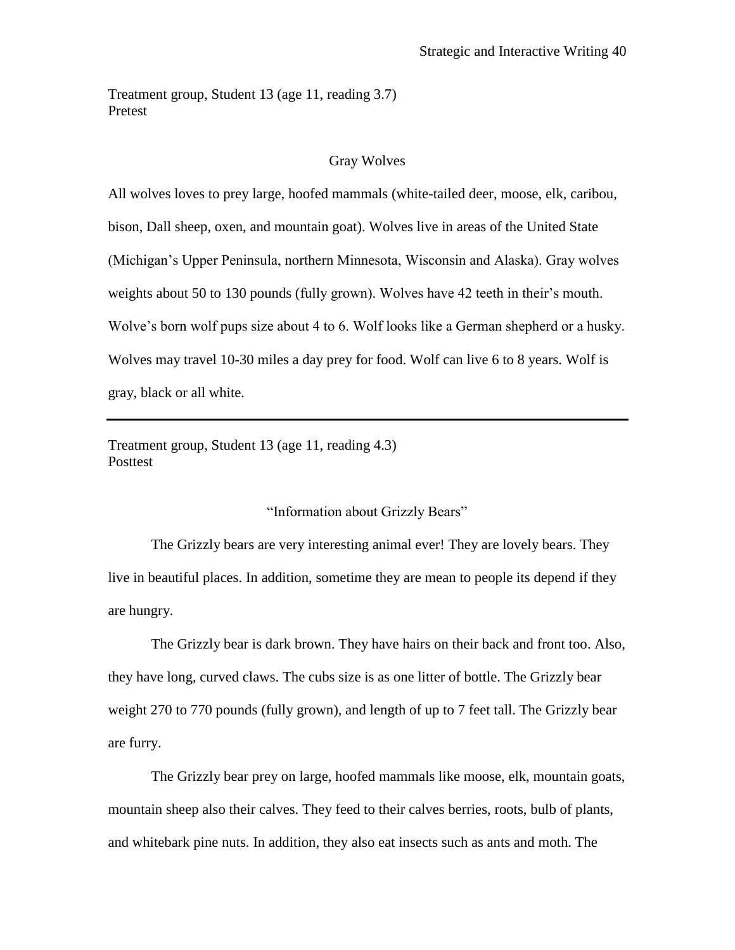Treatment group, Student 13 (age 11, reading 3.7) Pretest

#### Gray Wolves

All wolves loves to prey large, hoofed mammals (white-tailed deer, moose, elk, caribou, bison, Dall sheep, oxen, and mountain goat). Wolves live in areas of the United State (Michigan's Upper Peninsula, northern Minnesota, Wisconsin and Alaska). Gray wolves weights about 50 to 130 pounds (fully grown). Wolves have 42 teeth in their's mouth. Wolve's born wolf pups size about 4 to 6. Wolf looks like a German shepherd or a husky. Wolves may travel 10-30 miles a day prey for food. Wolf can live 6 to 8 years. Wolf is gray, black or all white.

Treatment group, Student 13 (age 11, reading 4.3) Posttest

#### "Information about Grizzly Bears"

The Grizzly bears are very interesting animal ever! They are lovely bears. They live in beautiful places. In addition, sometime they are mean to people its depend if they are hungry.

The Grizzly bear is dark brown. They have hairs on their back and front too. Also, they have long, curved claws. The cubs size is as one litter of bottle. The Grizzly bear weight 270 to 770 pounds (fully grown), and length of up to 7 feet tall. The Grizzly bear are furry.

The Grizzly bear prey on large, hoofed mammals like moose, elk, mountain goats, mountain sheep also their calves. They feed to their calves berries, roots, bulb of plants, and whitebark pine nuts. In addition, they also eat insects such as ants and moth. The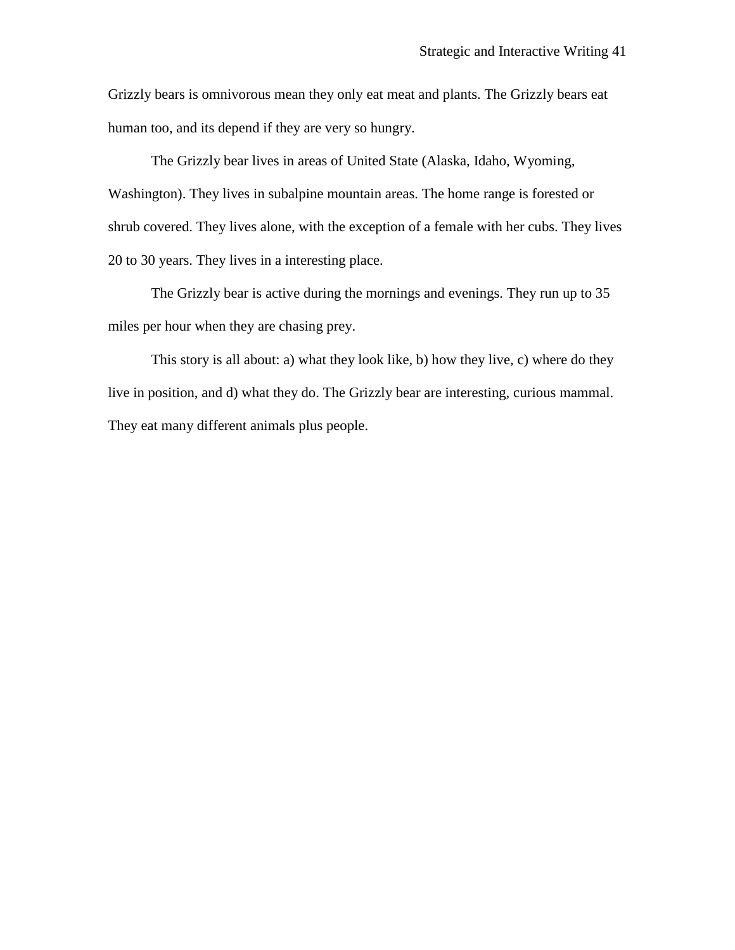Grizzly bears is omnivorous mean they only eat meat and plants. The Grizzly bears eat human too, and its depend if they are very so hungry.

The Grizzly bear lives in areas of United State (Alaska, Idaho, Wyoming, Washington). They lives in subalpine mountain areas. The home range is forested or shrub covered. They lives alone, with the exception of a female with her cubs. They lives 20 to 30 years. They lives in a interesting place.

The Grizzly bear is active during the mornings and evenings. They run up to 35 miles per hour when they are chasing prey.

This story is all about: a) what they look like, b) how they live, c) where do they live in position, and d) what they do. The Grizzly bear are interesting, curious mammal. They eat many different animals plus people.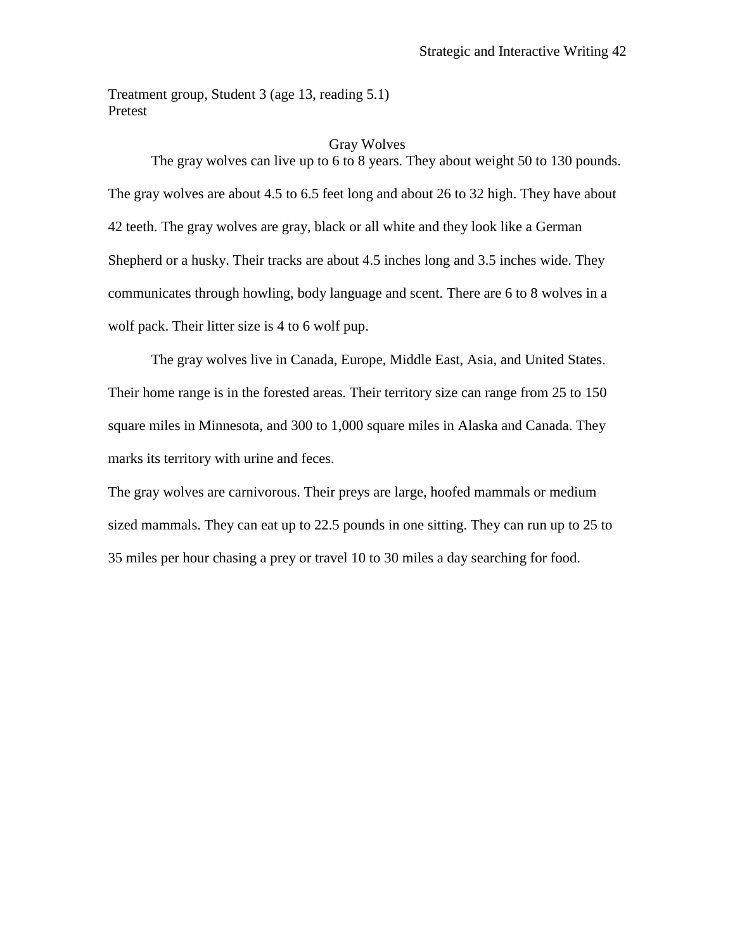Treatment group, Student 3 (age 13, reading 5.1) Pretest

#### Gray Wolves

The gray wolves can live up to 6 to 8 years. They about weight 50 to 130 pounds. The gray wolves are about 4.5 to 6.5 feet long and about 26 to 32 high. They have about 42 teeth. The gray wolves are gray, black or all white and they look like a German Shepherd or a husky. Their tracks are about 4.5 inches long and 3.5 inches wide. They communicates through howling, body language and scent. There are 6 to 8 wolves in a wolf pack. Their litter size is 4 to 6 wolf pup.

The gray wolves live in Canada, Europe, Middle East, Asia, and United States. Their home range is in the forested areas. Their territory size can range from 25 to 150 square miles in Minnesota, and 300 to 1,000 square miles in Alaska and Canada. They marks its territory with urine and feces.

The gray wolves are carnivorous. Their preys are large, hoofed mammals or medium sized mammals. They can eat up to 22.5 pounds in one sitting. They can run up to 25 to 35 miles per hour chasing a prey or travel 10 to 30 miles a day searching for food.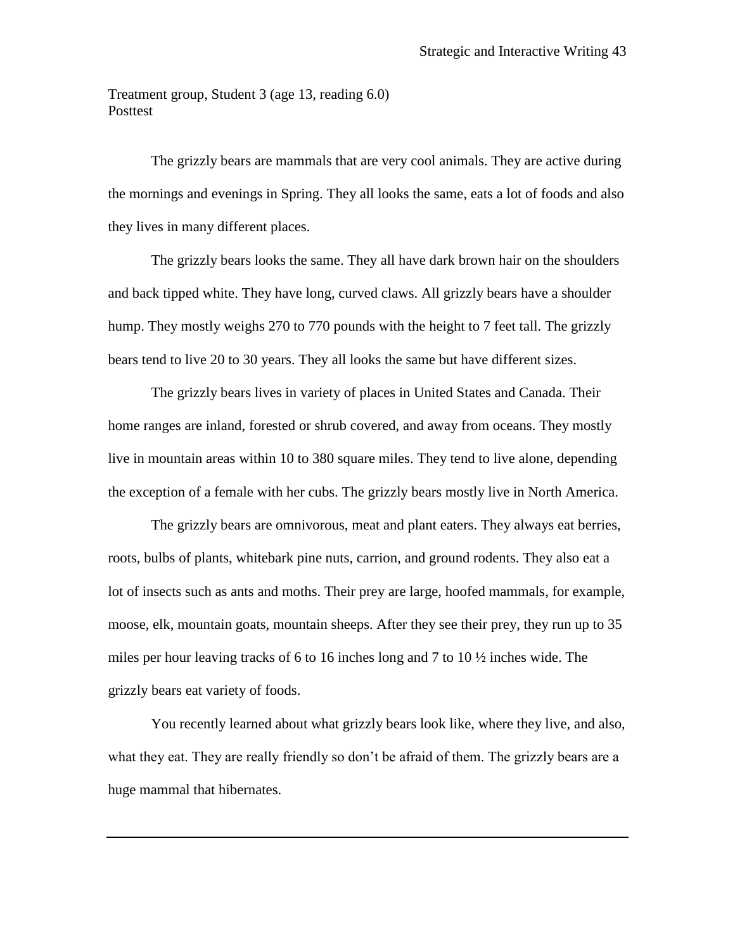Treatment group, Student 3 (age 13, reading 6.0) Posttest

The grizzly bears are mammals that are very cool animals. They are active during the mornings and evenings in Spring. They all looks the same, eats a lot of foods and also they lives in many different places.

The grizzly bears looks the same. They all have dark brown hair on the shoulders and back tipped white. They have long, curved claws. All grizzly bears have a shoulder hump. They mostly weighs 270 to 770 pounds with the height to 7 feet tall. The grizzly bears tend to live 20 to 30 years. They all looks the same but have different sizes.

The grizzly bears lives in variety of places in United States and Canada. Their home ranges are inland, forested or shrub covered, and away from oceans. They mostly live in mountain areas within 10 to 380 square miles. They tend to live alone, depending the exception of a female with her cubs. The grizzly bears mostly live in North America.

The grizzly bears are omnivorous, meat and plant eaters. They always eat berries, roots, bulbs of plants, whitebark pine nuts, carrion, and ground rodents. They also eat a lot of insects such as ants and moths. Their prey are large, hoofed mammals, for example, moose, elk, mountain goats, mountain sheeps. After they see their prey, they run up to 35 miles per hour leaving tracks of 6 to 16 inches long and 7 to 10  $\frac{1}{2}$  inches wide. The grizzly bears eat variety of foods.

You recently learned about what grizzly bears look like, where they live, and also, what they eat. They are really friendly so don't be afraid of them. The grizzly bears are a huge mammal that hibernates.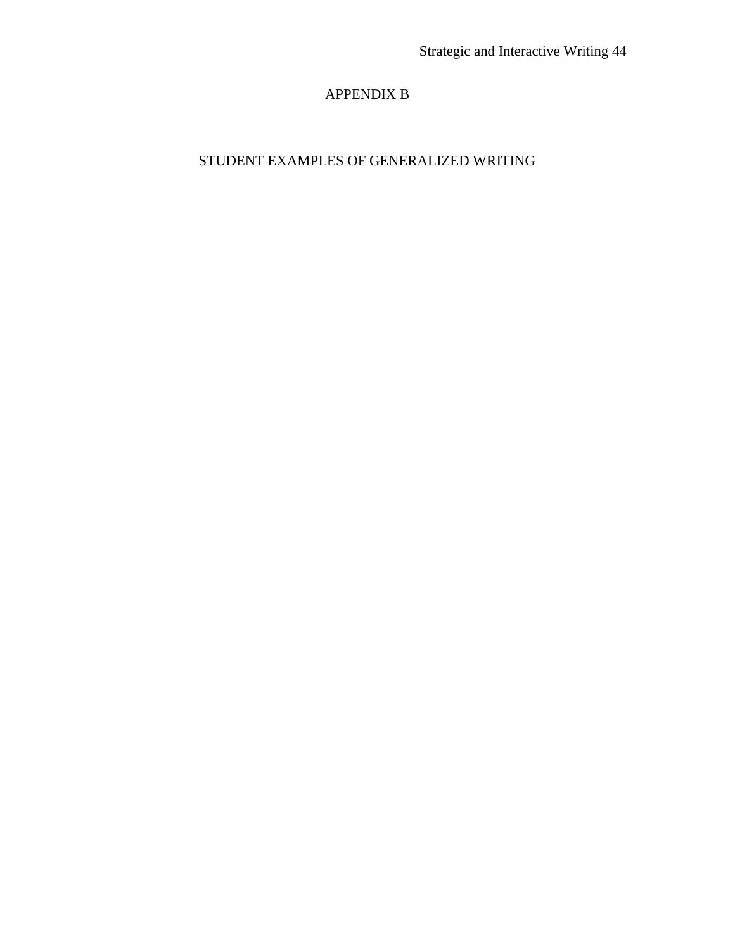## APPENDIX B

## STUDENT EXAMPLES OF GENERALIZED WRITING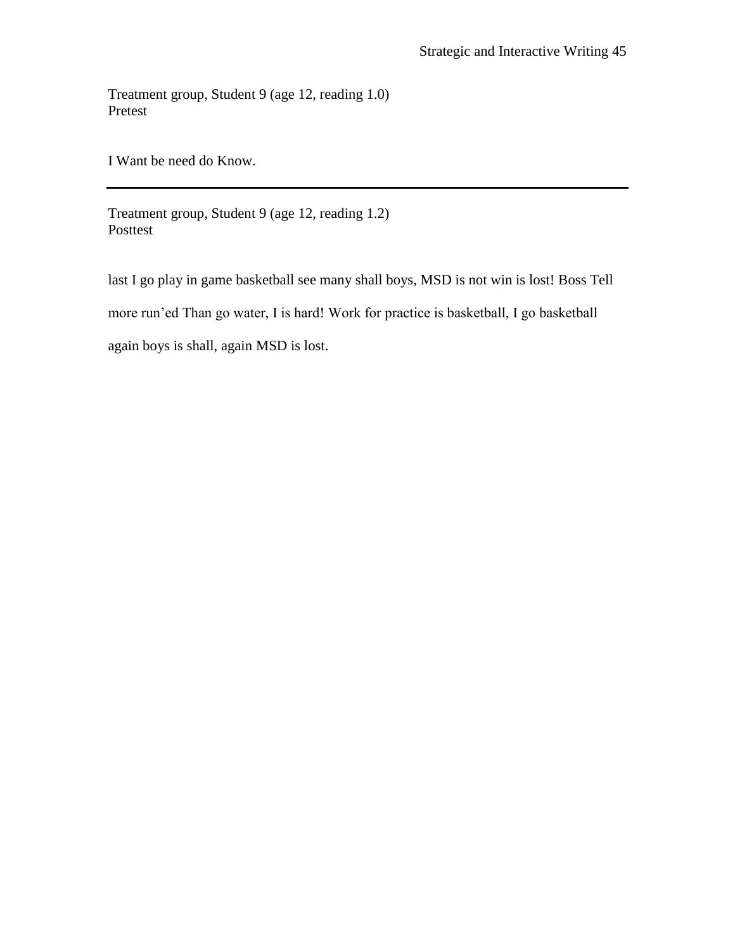Treatment group, Student 9 (age 12, reading 1.0) Pretest

I Want be need do Know.

Treatment group, Student 9 (age 12, reading 1.2) Posttest

last I go play in game basketball see many shall boys, MSD is not win is lost! Boss Tell more run'ed Than go water, I is hard! Work for practice is basketball, I go basketball again boys is shall, again MSD is lost.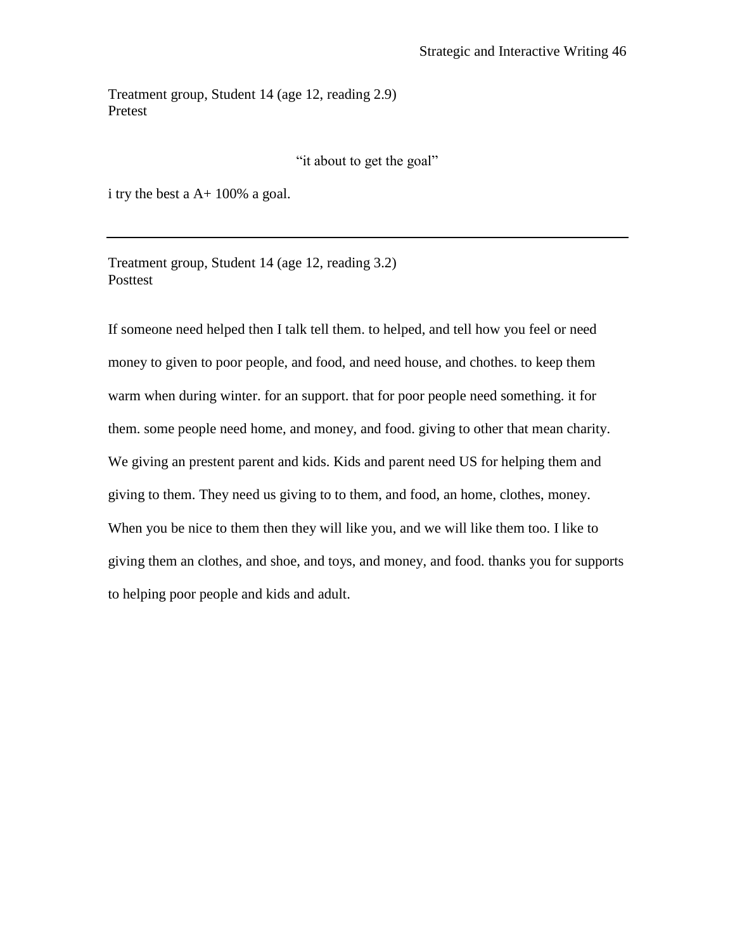Treatment group, Student 14 (age 12, reading 2.9) Pretest

"it about to get the goal"

i try the best a A+ 100% a goal.

Treatment group, Student 14 (age 12, reading 3.2) Posttest

If someone need helped then I talk tell them. to helped, and tell how you feel or need money to given to poor people, and food, and need house, and chothes. to keep them warm when during winter. for an support. that for poor people need something. it for them. some people need home, and money, and food. giving to other that mean charity. We giving an prestent parent and kids. Kids and parent need US for helping them and giving to them. They need us giving to to them, and food, an home, clothes, money. When you be nice to them then they will like you, and we will like them too. I like to giving them an clothes, and shoe, and toys, and money, and food. thanks you for supports to helping poor people and kids and adult.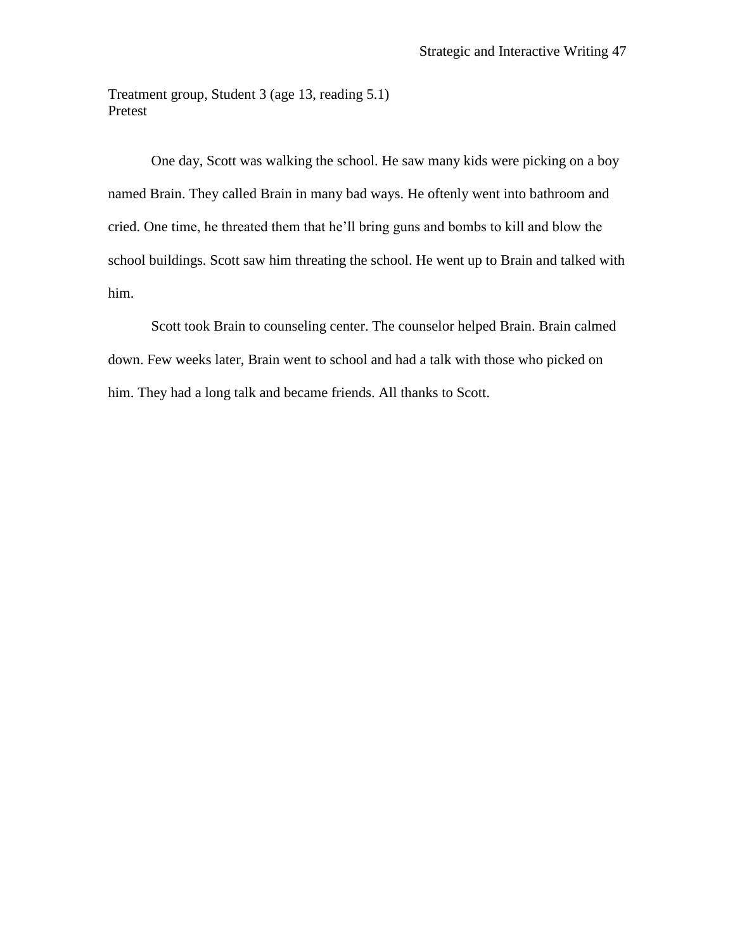Treatment group, Student 3 (age 13, reading 5.1) Pretest

One day, Scott was walking the school. He saw many kids were picking on a boy named Brain. They called Brain in many bad ways. He oftenly went into bathroom and cried. One time, he threated them that he'll bring guns and bombs to kill and blow the school buildings. Scott saw him threating the school. He went up to Brain and talked with him.

Scott took Brain to counseling center. The counselor helped Brain. Brain calmed down. Few weeks later, Brain went to school and had a talk with those who picked on him. They had a long talk and became friends. All thanks to Scott.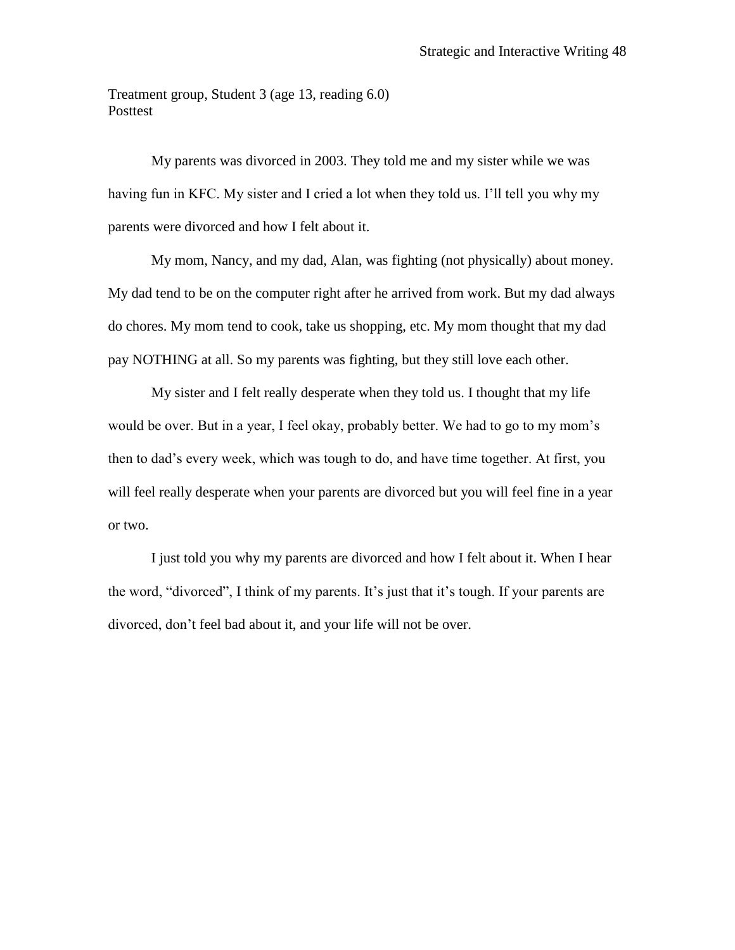Treatment group, Student 3 (age 13, reading 6.0) Posttest

My parents was divorced in 2003. They told me and my sister while we was having fun in KFC. My sister and I cried a lot when they told us. I'll tell you why my parents were divorced and how I felt about it.

My mom, Nancy, and my dad, Alan, was fighting (not physically) about money. My dad tend to be on the computer right after he arrived from work. But my dad always do chores. My mom tend to cook, take us shopping, etc. My mom thought that my dad pay NOTHING at all. So my parents was fighting, but they still love each other.

My sister and I felt really desperate when they told us. I thought that my life would be over. But in a year, I feel okay, probably better. We had to go to my mom's then to dad's every week, which was tough to do, and have time together. At first, you will feel really desperate when your parents are divorced but you will feel fine in a year or two.

I just told you why my parents are divorced and how I felt about it. When I hear the word, "divorced", I think of my parents. It's just that it's tough. If your parents are divorced, don't feel bad about it, and your life will not be over.